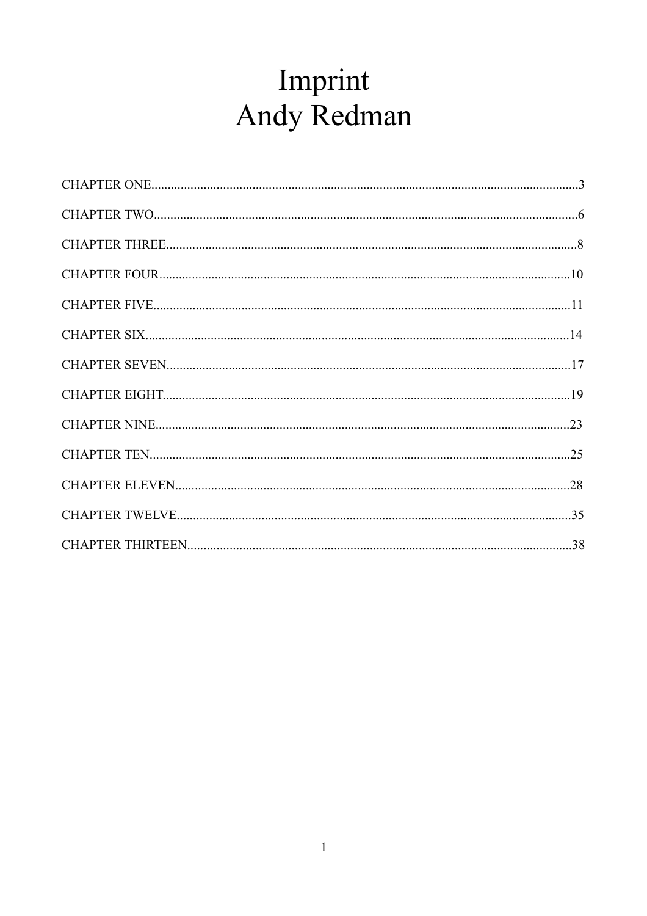# Imprint Andy Redman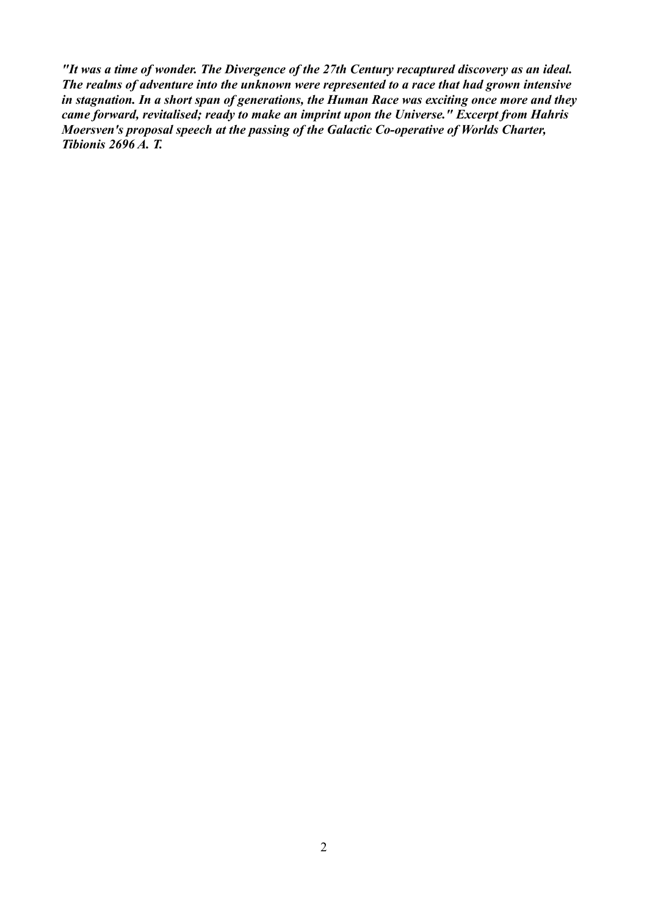*"It was a time of wonder. The Divergence of the 27th Century recaptured discovery as an ideal. The realms of adventure into the unknown were represented to a race that had grown intensive in stagnation. In a short span of generations, the Human Race was exciting once more and they came forward, revitalised; ready to make an imprint upon the Universe." Excerpt from Hahris Moersven's proposal speech at the passing of the Galactic Co-operative of Worlds Charter, Tibionis 2696 A. T.*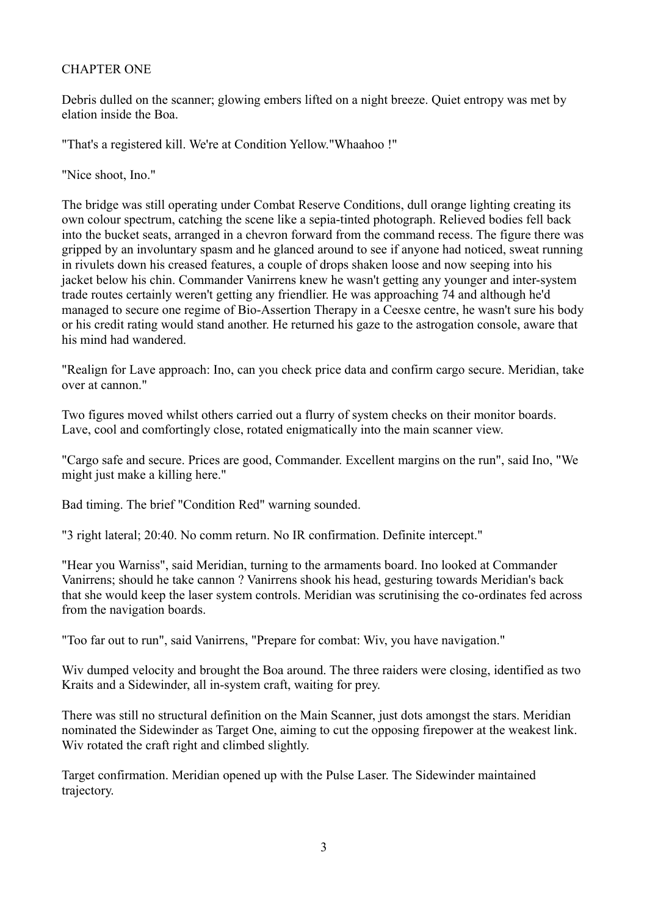# CHAPTER ONE

Debris dulled on the scanner; glowing embers lifted on a night breeze. Quiet entropy was met by elation inside the Boa.

"That's a registered kill. We're at Condition Yellow."Whaahoo !"

"Nice shoot, Ino."

The bridge was still operating under Combat Reserve Conditions, dull orange lighting creating its own colour spectrum, catching the scene like a sepia-tinted photograph. Relieved bodies fell back into the bucket seats, arranged in a chevron forward from the command recess. The figure there was gripped by an involuntary spasm and he glanced around to see if anyone had noticed, sweat running in rivulets down his creased features, a couple of drops shaken loose and now seeping into his jacket below his chin. Commander Vanirrens knew he wasn't getting any younger and inter-system trade routes certainly weren't getting any friendlier. He was approaching 74 and although he'd managed to secure one regime of Bio-Assertion Therapy in a Ceesxe centre, he wasn't sure his body or his credit rating would stand another. He returned his gaze to the astrogation console, aware that his mind had wandered.

"Realign for Lave approach: Ino, can you check price data and confirm cargo secure. Meridian, take over at cannon."

Two figures moved whilst others carried out a flurry of system checks on their monitor boards. Lave, cool and comfortingly close, rotated enigmatically into the main scanner view.

"Cargo safe and secure. Prices are good, Commander. Excellent margins on the run", said Ino, "We might just make a killing here."

Bad timing. The brief "Condition Red" warning sounded.

"3 right lateral; 20:40. No comm return. No IR confirmation. Definite intercept."

"Hear you Warniss", said Meridian, turning to the armaments board. Ino looked at Commander Vanirrens; should he take cannon ? Vanirrens shook his head, gesturing towards Meridian's back that she would keep the laser system controls. Meridian was scrutinising the co-ordinates fed across from the navigation boards.

"Too far out to run", said Vanirrens, "Prepare for combat: Wiv, you have navigation."

Wiv dumped velocity and brought the Boa around. The three raiders were closing, identified as two Kraits and a Sidewinder, all in-system craft, waiting for prey.

There was still no structural definition on the Main Scanner, just dots amongst the stars. Meridian nominated the Sidewinder as Target One, aiming to cut the opposing firepower at the weakest link. Wiv rotated the craft right and climbed slightly.

Target confirmation. Meridian opened up with the Pulse Laser. The Sidewinder maintained trajectory.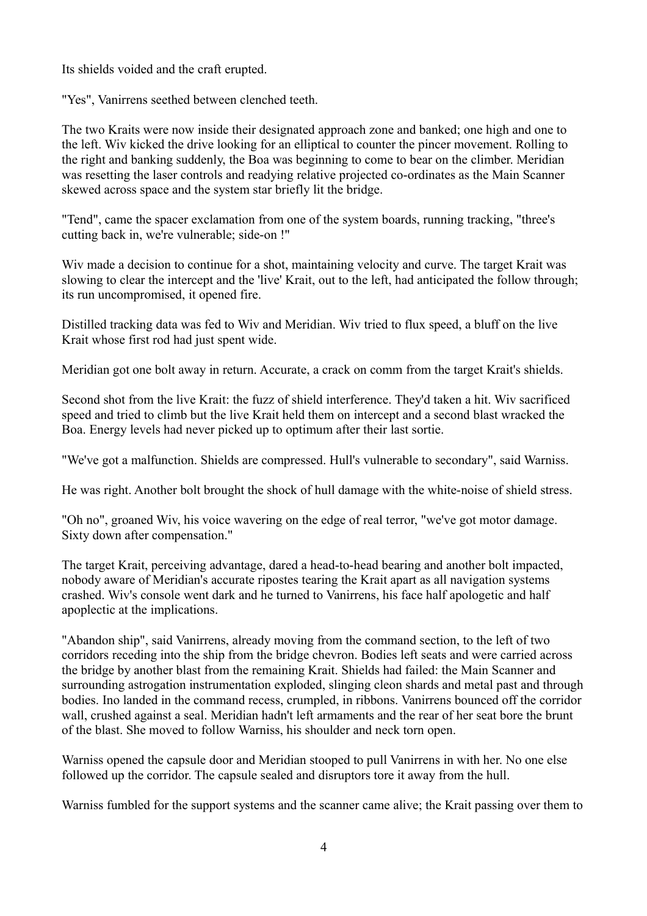Its shields voided and the craft erupted.

"Yes", Vanirrens seethed between clenched teeth.

The two Kraits were now inside their designated approach zone and banked; one high and one to the left. Wiv kicked the drive looking for an elliptical to counter the pincer movement. Rolling to the right and banking suddenly, the Boa was beginning to come to bear on the climber. Meridian was resetting the laser controls and readying relative projected co-ordinates as the Main Scanner skewed across space and the system star briefly lit the bridge.

"Tend", came the spacer exclamation from one of the system boards, running tracking, "three's cutting back in, we're vulnerable; side-on !"

Wiv made a decision to continue for a shot, maintaining velocity and curve. The target Krait was slowing to clear the intercept and the 'live' Krait, out to the left, had anticipated the follow through; its run uncompromised, it opened fire.

Distilled tracking data was fed to Wiv and Meridian. Wiv tried to flux speed, a bluff on the live Krait whose first rod had just spent wide.

Meridian got one bolt away in return. Accurate, a crack on comm from the target Krait's shields.

Second shot from the live Krait: the fuzz of shield interference. They'd taken a hit. Wiv sacrificed speed and tried to climb but the live Krait held them on intercept and a second blast wracked the Boa. Energy levels had never picked up to optimum after their last sortie.

"We've got a malfunction. Shields are compressed. Hull's vulnerable to secondary", said Warniss.

He was right. Another bolt brought the shock of hull damage with the white-noise of shield stress.

"Oh no", groaned Wiv, his voice wavering on the edge of real terror, "we've got motor damage. Sixty down after compensation."

The target Krait, perceiving advantage, dared a head-to-head bearing and another bolt impacted, nobody aware of Meridian's accurate ripostes tearing the Krait apart as all navigation systems crashed. Wiv's console went dark and he turned to Vanirrens, his face half apologetic and half apoplectic at the implications.

"Abandon ship", said Vanirrens, already moving from the command section, to the left of two corridors receding into the ship from the bridge chevron. Bodies left seats and were carried across the bridge by another blast from the remaining Krait. Shields had failed: the Main Scanner and surrounding astrogation instrumentation exploded, slinging cleon shards and metal past and through bodies. Ino landed in the command recess, crumpled, in ribbons. Vanirrens bounced off the corridor wall, crushed against a seal. Meridian hadn't left armaments and the rear of her seat bore the brunt of the blast. She moved to follow Warniss, his shoulder and neck torn open.

Warniss opened the capsule door and Meridian stooped to pull Vanirrens in with her. No one else followed up the corridor. The capsule sealed and disruptors tore it away from the hull.

Warniss fumbled for the support systems and the scanner came alive; the Krait passing over them to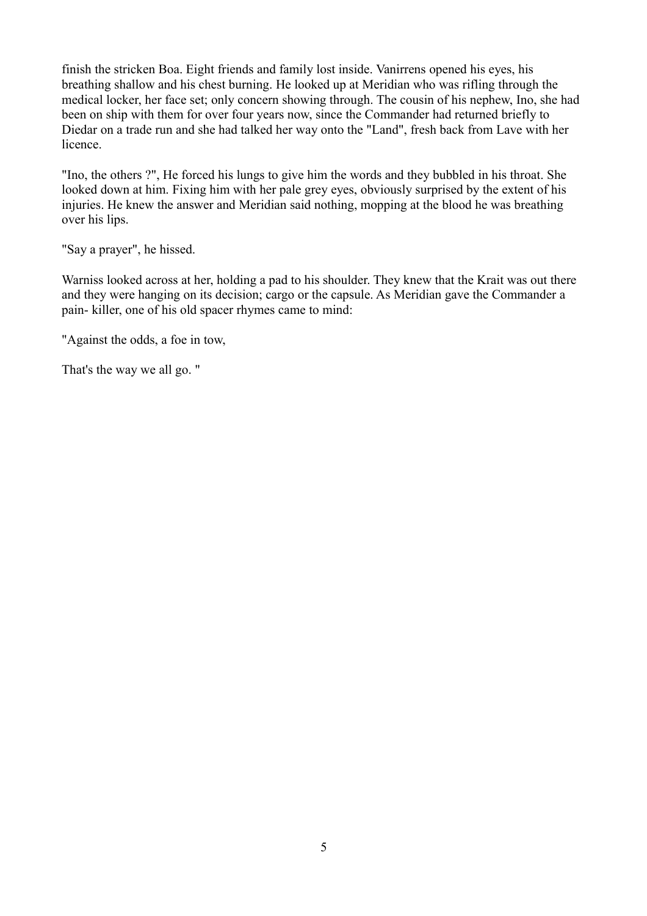finish the stricken Boa. Eight friends and family lost inside. Vanirrens opened his eyes, his breathing shallow and his chest burning. He looked up at Meridian who was rifling through the medical locker, her face set; only concern showing through. The cousin of his nephew, Ino, she had been on ship with them for over four years now, since the Commander had returned briefly to Diedar on a trade run and she had talked her way onto the "Land", fresh back from Lave with her licence.

"Ino, the others ?", He forced his lungs to give him the words and they bubbled in his throat. She looked down at him. Fixing him with her pale grey eyes, obviously surprised by the extent of his injuries. He knew the answer and Meridian said nothing, mopping at the blood he was breathing over his lips.

"Say a prayer", he hissed.

Warniss looked across at her, holding a pad to his shoulder. They knew that the Krait was out there and they were hanging on its decision; cargo or the capsule. As Meridian gave the Commander a pain- killer, one of his old spacer rhymes came to mind:

"Against the odds, a foe in tow,

That's the way we all go. "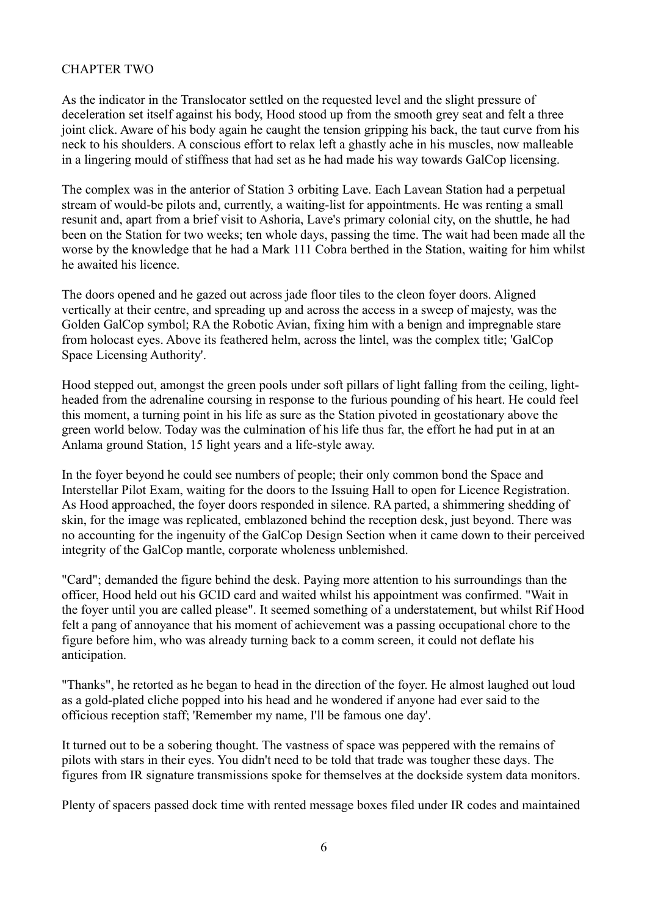# CHAPTER TWO

As the indicator in the Translocator settled on the requested level and the slight pressure of deceleration set itself against his body, Hood stood up from the smooth grey seat and felt a three joint click. Aware of his body again he caught the tension gripping his back, the taut curve from his neck to his shoulders. A conscious effort to relax left a ghastly ache in his muscles, now malleable in a lingering mould of stiffness that had set as he had made his way towards GalCop licensing.

The complex was in the anterior of Station 3 orbiting Lave. Each Lavean Station had a perpetual stream of would-be pilots and, currently, a waiting-list for appointments. He was renting a small resunit and, apart from a brief visit to Ashoria, Lave's primary colonial city, on the shuttle, he had been on the Station for two weeks; ten whole days, passing the time. The wait had been made all the worse by the knowledge that he had a Mark 111 Cobra berthed in the Station, waiting for him whilst he awaited his licence.

The doors opened and he gazed out across jade floor tiles to the cleon foyer doors. Aligned vertically at their centre, and spreading up and across the access in a sweep of majesty, was the Golden GalCop symbol; RA the Robotic Avian, fixing him with a benign and impregnable stare from holocast eyes. Above its feathered helm, across the lintel, was the complex title; 'GalCop Space Licensing Authority'.

Hood stepped out, amongst the green pools under soft pillars of light falling from the ceiling, lightheaded from the adrenaline coursing in response to the furious pounding of his heart. He could feel this moment, a turning point in his life as sure as the Station pivoted in geostationary above the green world below. Today was the culmination of his life thus far, the effort he had put in at an Anlama ground Station, 15 light years and a life-style away.

In the foyer beyond he could see numbers of people; their only common bond the Space and Interstellar Pilot Exam, waiting for the doors to the Issuing Hall to open for Licence Registration. As Hood approached, the foyer doors responded in silence. RA parted, a shimmering shedding of skin, for the image was replicated, emblazoned behind the reception desk, just beyond. There was no accounting for the ingenuity of the GalCop Design Section when it came down to their perceived integrity of the GalCop mantle, corporate wholeness unblemished.

"Card"; demanded the figure behind the desk. Paying more attention to his surroundings than the officer, Hood held out his GCID card and waited whilst his appointment was confirmed. "Wait in the foyer until you are called please". It seemed something of a understatement, but whilst Rif Hood felt a pang of annoyance that his moment of achievement was a passing occupational chore to the figure before him, who was already turning back to a comm screen, it could not deflate his anticipation.

"Thanks", he retorted as he began to head in the direction of the foyer. He almost laughed out loud as a gold-plated cliche popped into his head and he wondered if anyone had ever said to the officious reception staff; 'Remember my name, I'll be famous one day'.

It turned out to be a sobering thought. The vastness of space was peppered with the remains of pilots with stars in their eyes. You didn't need to be told that trade was tougher these days. The figures from IR signature transmissions spoke for themselves at the dockside system data monitors.

Plenty of spacers passed dock time with rented message boxes filed under IR codes and maintained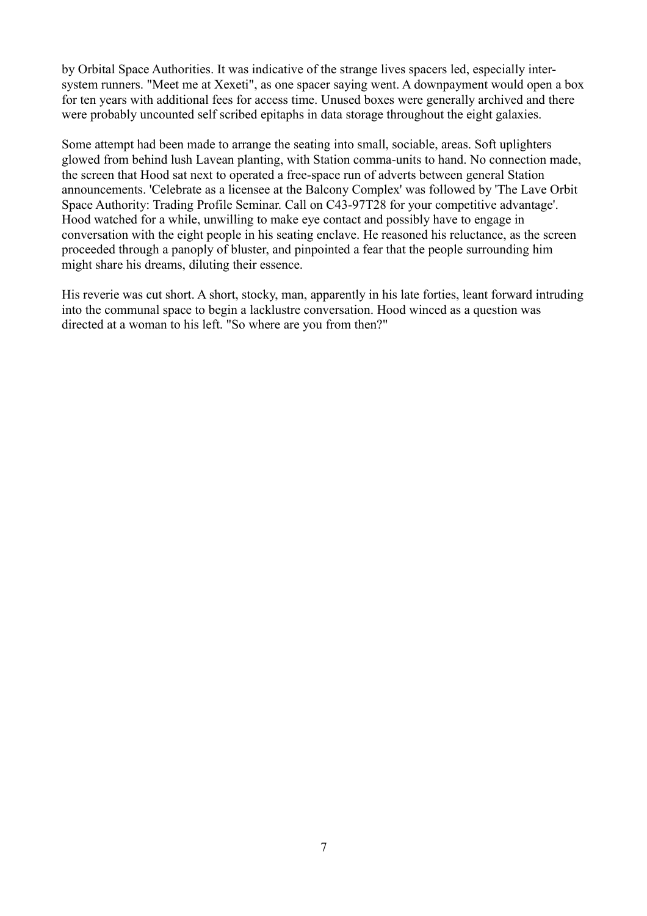by Orbital Space Authorities. It was indicative of the strange lives spacers led, especially intersystem runners. "Meet me at Xexeti", as one spacer saying went. A downpayment would open a box for ten years with additional fees for access time. Unused boxes were generally archived and there were probably uncounted self scribed epitaphs in data storage throughout the eight galaxies.

Some attempt had been made to arrange the seating into small, sociable, areas. Soft uplighters glowed from behind lush Lavean planting, with Station comma-units to hand. No connection made, the screen that Hood sat next to operated a free-space run of adverts between general Station announcements. 'Celebrate as a licensee at the Balcony Complex' was followed by 'The Lave Orbit Space Authority: Trading Profile Seminar. Call on C43-97T28 for your competitive advantage'. Hood watched for a while, unwilling to make eye contact and possibly have to engage in conversation with the eight people in his seating enclave. He reasoned his reluctance, as the screen proceeded through a panoply of bluster, and pinpointed a fear that the people surrounding him might share his dreams, diluting their essence.

His reverie was cut short. A short, stocky, man, apparently in his late forties, leant forward intruding into the communal space to begin a lacklustre conversation. Hood winced as a question was directed at a woman to his left. "So where are you from then?"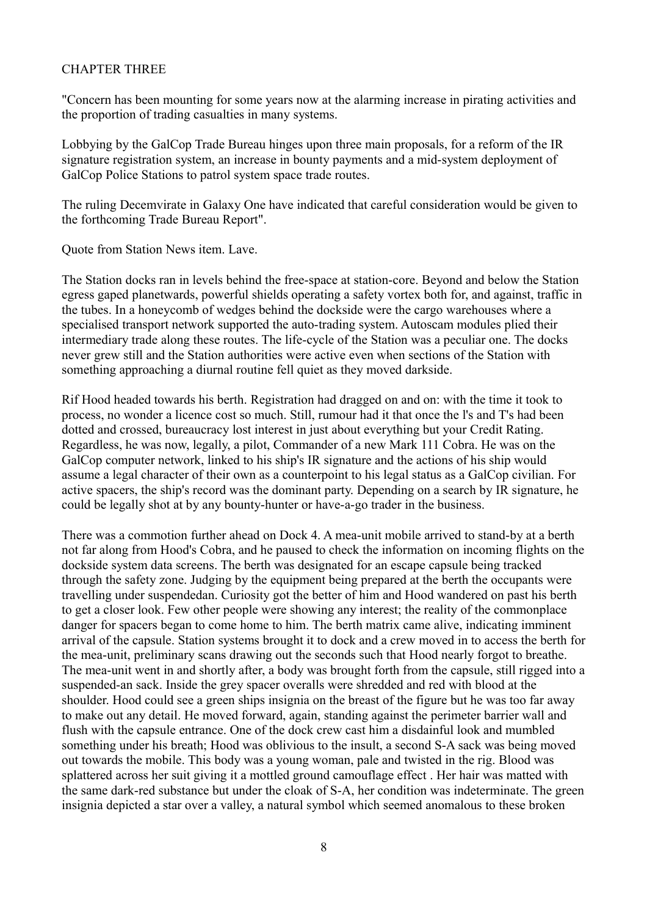# CHAPTER THREE

"Concern has been mounting for some years now at the alarming increase in pirating activities and the proportion of trading casualties in many systems.

Lobbying by the GalCop Trade Bureau hinges upon three main proposals, for a reform of the IR signature registration system, an increase in bounty payments and a mid-system deployment of GalCop Police Stations to patrol system space trade routes.

The ruling Decemvirate in Galaxy One have indicated that careful consideration would be given to the forthcoming Trade Bureau Report".

Quote from Station News item. Lave.

The Station docks ran in levels behind the free-space at station-core. Beyond and below the Station egress gaped planetwards, powerful shields operating a safety vortex both for, and against, traffic in the tubes. In a honeycomb of wedges behind the dockside were the cargo warehouses where a specialised transport network supported the auto-trading system. Autoscam modules plied their intermediary trade along these routes. The life-cycle of the Station was a peculiar one. The docks never grew still and the Station authorities were active even when sections of the Station with something approaching a diurnal routine fell quiet as they moved darkside.

Rif Hood headed towards his berth. Registration had dragged on and on: with the time it took to process, no wonder a licence cost so much. Still, rumour had it that once the l's and T's had been dotted and crossed, bureaucracy lost interest in just about everything but your Credit Rating. Regardless, he was now, legally, a pilot, Commander of a new Mark 111 Cobra. He was on the GalCop computer network, linked to his ship's IR signature and the actions of his ship would assume a legal character of their own as a counterpoint to his legal status as a GalCop civilian. For active spacers, the ship's record was the dominant party. Depending on a search by IR signature, he could be legally shot at by any bounty-hunter or have-a-go trader in the business.

There was a commotion further ahead on Dock 4. A mea-unit mobile arrived to stand-by at a berth not far along from Hood's Cobra, and he paused to check the information on incoming flights on the dockside system data screens. The berth was designated for an escape capsule being tracked through the safety zone. Judging by the equipment being prepared at the berth the occupants were travelling under suspendedan. Curiosity got the better of him and Hood wandered on past his berth to get a closer look. Few other people were showing any interest; the reality of the commonplace danger for spacers began to come home to him. The berth matrix came alive, indicating imminent arrival of the capsule. Station systems brought it to dock and a crew moved in to access the berth for the mea-unit, preliminary scans drawing out the seconds such that Hood nearly forgot to breathe. The mea-unit went in and shortly after, a body was brought forth from the capsule, still rigged into a suspended-an sack. Inside the grey spacer overalls were shredded and red with blood at the shoulder. Hood could see a green ships insignia on the breast of the figure but he was too far away to make out any detail. He moved forward, again, standing against the perimeter barrier wall and flush with the capsule entrance. One of the dock crew cast him a disdainful look and mumbled something under his breath; Hood was oblivious to the insult, a second S-A sack was being moved out towards the mobile. This body was a young woman, pale and twisted in the rig. Blood was splattered across her suit giving it a mottled ground camouflage effect . Her hair was matted with the same dark-red substance but under the cloak of S-A, her condition was indeterminate. The green insignia depicted a star over a valley, a natural symbol which seemed anomalous to these broken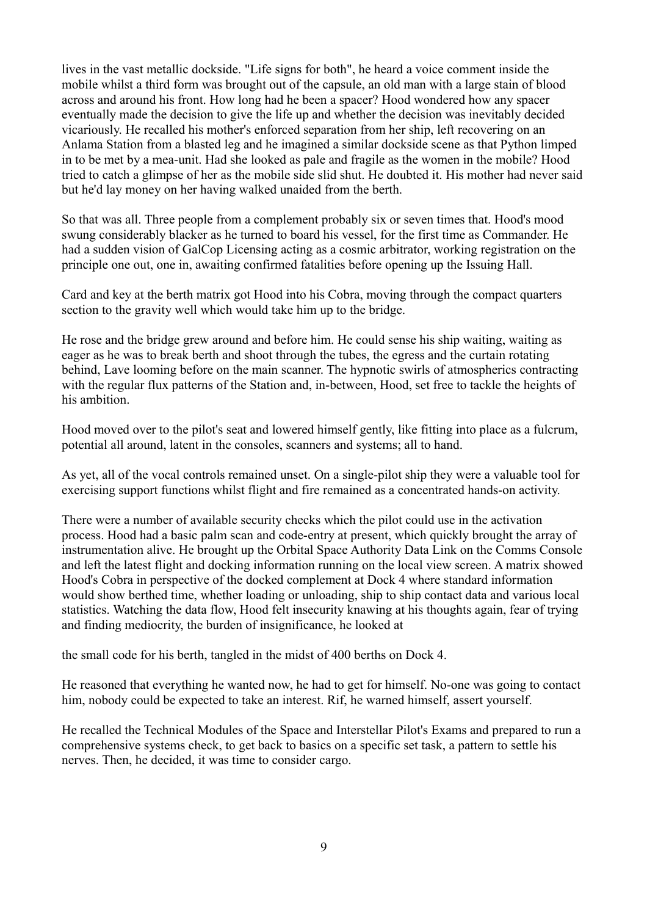lives in the vast metallic dockside. "Life signs for both", he heard a voice comment inside the mobile whilst a third form was brought out of the capsule, an old man with a large stain of blood across and around his front. How long had he been a spacer? Hood wondered how any spacer eventually made the decision to give the life up and whether the decision was inevitably decided vicariously. He recalled his mother's enforced separation from her ship, left recovering on an Anlama Station from a blasted leg and he imagined a similar dockside scene as that Python limped in to be met by a mea-unit. Had she looked as pale and fragile as the women in the mobile? Hood tried to catch a glimpse of her as the mobile side slid shut. He doubted it. His mother had never said but he'd lay money on her having walked unaided from the berth.

So that was all. Three people from a complement probably six or seven times that. Hood's mood swung considerably blacker as he turned to board his vessel, for the first time as Commander. He had a sudden vision of GalCop Licensing acting as a cosmic arbitrator, working registration on the principle one out, one in, awaiting confirmed fatalities before opening up the Issuing Hall.

Card and key at the berth matrix got Hood into his Cobra, moving through the compact quarters section to the gravity well which would take him up to the bridge.

He rose and the bridge grew around and before him. He could sense his ship waiting, waiting as eager as he was to break berth and shoot through the tubes, the egress and the curtain rotating behind, Lave looming before on the main scanner. The hypnotic swirls of atmospherics contracting with the regular flux patterns of the Station and, in-between, Hood, set free to tackle the heights of his ambition.

Hood moved over to the pilot's seat and lowered himself gently, like fitting into place as a fulcrum, potential all around, latent in the consoles, scanners and systems; all to hand.

As yet, all of the vocal controls remained unset. On a single-pilot ship they were a valuable tool for exercising support functions whilst flight and fire remained as a concentrated hands-on activity.

There were a number of available security checks which the pilot could use in the activation process. Hood had a basic palm scan and code-entry at present, which quickly brought the array of instrumentation alive. He brought up the Orbital Space Authority Data Link on the Comms Console and left the latest flight and docking information running on the local view screen. A matrix showed Hood's Cobra in perspective of the docked complement at Dock 4 where standard information would show berthed time, whether loading or unloading, ship to ship contact data and various local statistics. Watching the data flow, Hood felt insecurity knawing at his thoughts again, fear of trying and finding mediocrity, the burden of insignificance, he looked at

the small code for his berth, tangled in the midst of 400 berths on Dock 4.

He reasoned that everything he wanted now, he had to get for himself. No-one was going to contact him, nobody could be expected to take an interest. Rif, he warned himself, assert yourself.

He recalled the Technical Modules of the Space and Interstellar Pilot's Exams and prepared to run a comprehensive systems check, to get back to basics on a specific set task, a pattern to settle his nerves. Then, he decided, it was time to consider cargo.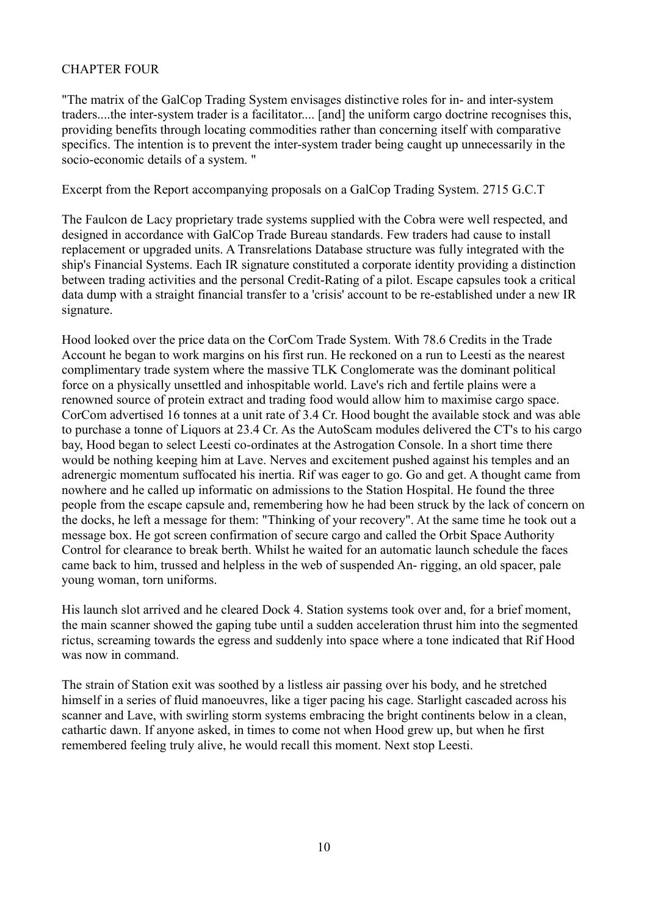# CHAPTER FOUR

"The matrix of the GalCop Trading System envisages distinctive roles for in- and inter-system traders....the inter-system trader is a facilitator.... [and] the uniform cargo doctrine recognises this, providing benefits through locating commodities rather than concerning itself with comparative specifics. The intention is to prevent the inter-system trader being caught up unnecessarily in the socio-economic details of a system. "

Excerpt from the Report accompanying proposals on a GalCop Trading System. 2715 G.C.T

The Faulcon de Lacy proprietary trade systems supplied with the Cobra were well respected, and designed in accordance with GalCop Trade Bureau standards. Few traders had cause to install replacement or upgraded units. A Transrelations Database structure was fully integrated with the ship's Financial Systems. Each IR signature constituted a corporate identity providing a distinction between trading activities and the personal Credit-Rating of a pilot. Escape capsules took a critical data dump with a straight financial transfer to a 'crisis' account to be re-established under a new IR signature.

Hood looked over the price data on the CorCom Trade System. With 78.6 Credits in the Trade Account he began to work margins on his first run. He reckoned on a run to Leesti as the nearest complimentary trade system where the massive TLK Conglomerate was the dominant political force on a physically unsettled and inhospitable world. Lave's rich and fertile plains were a renowned source of protein extract and trading food would allow him to maximise cargo space. CorCom advertised 16 tonnes at a unit rate of 3.4 Cr. Hood bought the available stock and was able to purchase a tonne of Liquors at 23.4 Cr. As the AutoScam modules delivered the CT's to his cargo bay, Hood began to select Leesti co-ordinates at the Astrogation Console. In a short time there would be nothing keeping him at Lave. Nerves and excitement pushed against his temples and an adrenergic momentum suffocated his inertia. Rif was eager to go. Go and get. A thought came from nowhere and he called up informatic on admissions to the Station Hospital. He found the three people from the escape capsule and, remembering how he had been struck by the lack of concern on the docks, he left a message for them: "Thinking of your recovery". At the same time he took out a message box. He got screen confirmation of secure cargo and called the Orbit Space Authority Control for clearance to break berth. Whilst he waited for an automatic launch schedule the faces came back to him, trussed and helpless in the web of suspended An- rigging, an old spacer, pale young woman, torn uniforms.

His launch slot arrived and he cleared Dock 4. Station systems took over and, for a brief moment, the main scanner showed the gaping tube until a sudden acceleration thrust him into the segmented rictus, screaming towards the egress and suddenly into space where a tone indicated that Rif Hood was now in command.

The strain of Station exit was soothed by a listless air passing over his body, and he stretched himself in a series of fluid manoeuvres, like a tiger pacing his cage. Starlight cascaded across his scanner and Lave, with swirling storm systems embracing the bright continents below in a clean, cathartic dawn. If anyone asked, in times to come not when Hood grew up, but when he first remembered feeling truly alive, he would recall this moment. Next stop Leesti.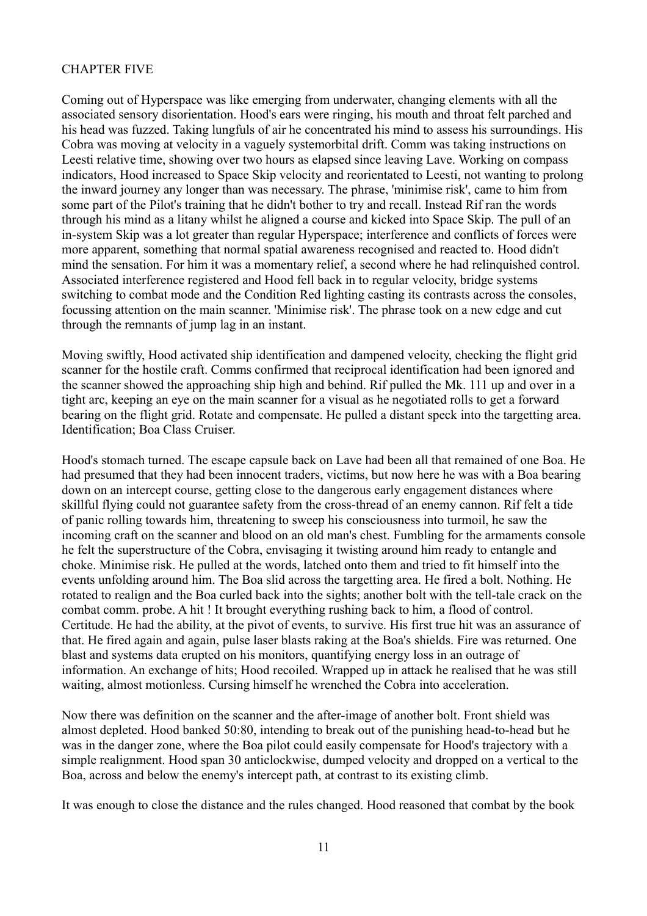# CHAPTER FIVE

Coming out of Hyperspace was like emerging from underwater, changing elements with all the associated sensory disorientation. Hood's ears were ringing, his mouth and throat felt parched and his head was fuzzed. Taking lungfuls of air he concentrated his mind to assess his surroundings. His Cobra was moving at velocity in a vaguely systemorbital drift. Comm was taking instructions on Leesti relative time, showing over two hours as elapsed since leaving Lave. Working on compass indicators, Hood increased to Space Skip velocity and reorientated to Leesti, not wanting to prolong the inward journey any longer than was necessary. The phrase, 'minimise risk', came to him from some part of the Pilot's training that he didn't bother to try and recall. Instead Rif ran the words through his mind as a litany whilst he aligned a course and kicked into Space Skip. The pull of an in-system Skip was a lot greater than regular Hyperspace; interference and conflicts of forces were more apparent, something that normal spatial awareness recognised and reacted to. Hood didn't mind the sensation. For him it was a momentary relief, a second where he had relinquished control. Associated interference registered and Hood fell back in to regular velocity, bridge systems switching to combat mode and the Condition Red lighting casting its contrasts across the consoles, focussing attention on the main scanner. 'Minimise risk'. The phrase took on a new edge and cut through the remnants of jump lag in an instant.

Moving swiftly, Hood activated ship identification and dampened velocity, checking the flight grid scanner for the hostile craft. Comms confirmed that reciprocal identification had been ignored and the scanner showed the approaching ship high and behind. Rif pulled the Mk. 111 up and over in a tight arc, keeping an eye on the main scanner for a visual as he negotiated rolls to get a forward bearing on the flight grid. Rotate and compensate. He pulled a distant speck into the targetting area. Identification; Boa Class Cruiser.

Hood's stomach turned. The escape capsule back on Lave had been all that remained of one Boa. He had presumed that they had been innocent traders, victims, but now here he was with a Boa bearing down on an intercept course, getting close to the dangerous early engagement distances where skillful flying could not guarantee safety from the cross-thread of an enemy cannon. Rif felt a tide of panic rolling towards him, threatening to sweep his consciousness into turmoil, he saw the incoming craft on the scanner and blood on an old man's chest. Fumbling for the armaments console he felt the superstructure of the Cobra, envisaging it twisting around him ready to entangle and choke. Minimise risk. He pulled at the words, latched onto them and tried to fit himself into the events unfolding around him. The Boa slid across the targetting area. He fired a bolt. Nothing. He rotated to realign and the Boa curled back into the sights; another bolt with the tell-tale crack on the combat comm. probe. A hit ! It brought everything rushing back to him, a flood of control. Certitude. He had the ability, at the pivot of events, to survive. His first true hit was an assurance of that. He fired again and again, pulse laser blasts raking at the Boa's shields. Fire was returned. One blast and systems data erupted on his monitors, quantifying energy loss in an outrage of information. An exchange of hits; Hood recoiled. Wrapped up in attack he realised that he was still waiting, almost motionless. Cursing himself he wrenched the Cobra into acceleration.

Now there was definition on the scanner and the after-image of another bolt. Front shield was almost depleted. Hood banked 50:80, intending to break out of the punishing head-to-head but he was in the danger zone, where the Boa pilot could easily compensate for Hood's trajectory with a simple realignment. Hood span 30 anticlockwise, dumped velocity and dropped on a vertical to the Boa, across and below the enemy's intercept path, at contrast to its existing climb.

It was enough to close the distance and the rules changed. Hood reasoned that combat by the book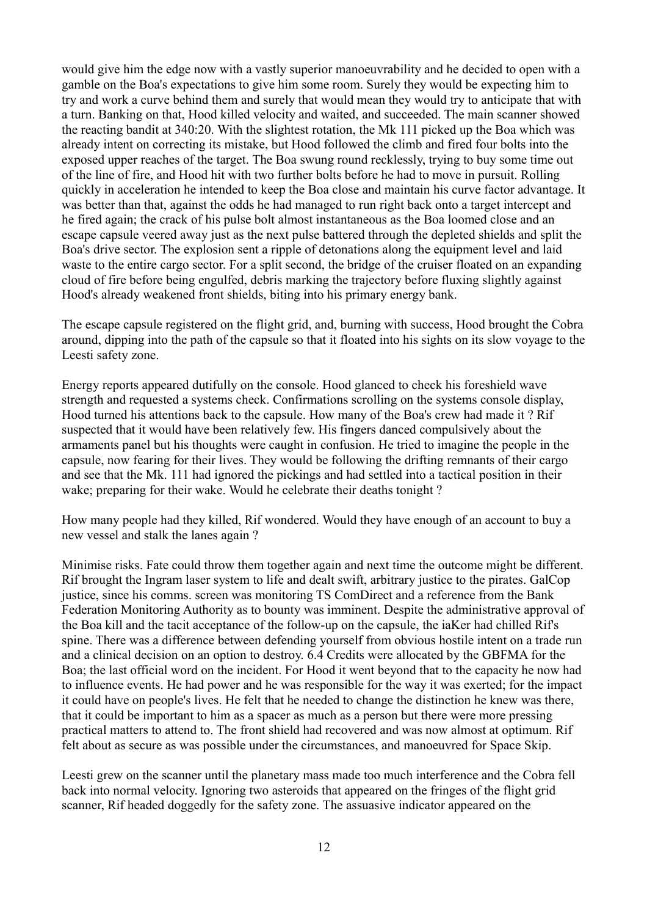would give him the edge now with a vastly superior manoeuvrability and he decided to open with a gamble on the Boa's expectations to give him some room. Surely they would be expecting him to try and work a curve behind them and surely that would mean they would try to anticipate that with a turn. Banking on that, Hood killed velocity and waited, and succeeded. The main scanner showed the reacting bandit at 340:20. With the slightest rotation, the Mk 111 picked up the Boa which was already intent on correcting its mistake, but Hood followed the climb and fired four bolts into the exposed upper reaches of the target. The Boa swung round recklessly, trying to buy some time out of the line of fire, and Hood hit with two further bolts before he had to move in pursuit. Rolling quickly in acceleration he intended to keep the Boa close and maintain his curve factor advantage. It was better than that, against the odds he had managed to run right back onto a target intercept and he fired again; the crack of his pulse bolt almost instantaneous as the Boa loomed close and an escape capsule veered away just as the next pulse battered through the depleted shields and split the Boa's drive sector. The explosion sent a ripple of detonations along the equipment level and laid waste to the entire cargo sector. For a split second, the bridge of the cruiser floated on an expanding cloud of fire before being engulfed, debris marking the trajectory before fluxing slightly against Hood's already weakened front shields, biting into his primary energy bank.

The escape capsule registered on the flight grid, and, burning with success, Hood brought the Cobra around, dipping into the path of the capsule so that it floated into his sights on its slow voyage to the Leesti safety zone.

Energy reports appeared dutifully on the console. Hood glanced to check his foreshield wave strength and requested a systems check. Confirmations scrolling on the systems console display, Hood turned his attentions back to the capsule. How many of the Boa's crew had made it ? Rif suspected that it would have been relatively few. His fingers danced compulsively about the armaments panel but his thoughts were caught in confusion. He tried to imagine the people in the capsule, now fearing for their lives. They would be following the drifting remnants of their cargo and see that the Mk. 111 had ignored the pickings and had settled into a tactical position in their wake; preparing for their wake. Would he celebrate their deaths tonight ?

How many people had they killed, Rif wondered. Would they have enough of an account to buy a new vessel and stalk the lanes again ?

Minimise risks. Fate could throw them together again and next time the outcome might be different. Rif brought the Ingram laser system to life and dealt swift, arbitrary justice to the pirates. GalCop justice, since his comms. screen was monitoring TS ComDirect and a reference from the Bank Federation Monitoring Authority as to bounty was imminent. Despite the administrative approval of the Boa kill and the tacit acceptance of the follow-up on the capsule, the iaKer had chilled Rif's spine. There was a difference between defending yourself from obvious hostile intent on a trade run and a clinical decision on an option to destroy. 6.4 Credits were allocated by the GBFMA for the Boa; the last official word on the incident. For Hood it went beyond that to the capacity he now had to influence events. He had power and he was responsible for the way it was exerted; for the impact it could have on people's lives. He felt that he needed to change the distinction he knew was there, that it could be important to him as a spacer as much as a person but there were more pressing practical matters to attend to. The front shield had recovered and was now almost at optimum. Rif felt about as secure as was possible under the circumstances, and manoeuvred for Space Skip.

Leesti grew on the scanner until the planetary mass made too much interference and the Cobra fell back into normal velocity. Ignoring two asteroids that appeared on the fringes of the flight grid scanner, Rif headed doggedly for the safety zone. The assuasive indicator appeared on the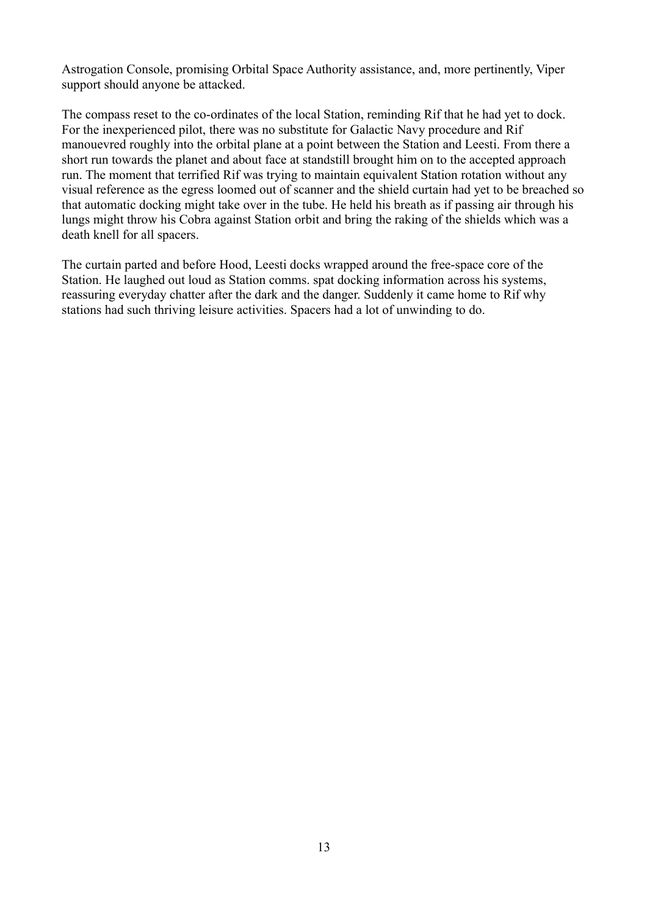Astrogation Console, promising Orbital Space Authority assistance, and, more pertinently, Viper support should anyone be attacked.

The compass reset to the co-ordinates of the local Station, reminding Rif that he had yet to dock. For the inexperienced pilot, there was no substitute for Galactic Navy procedure and Rif manouevred roughly into the orbital plane at a point between the Station and Leesti. From there a short run towards the planet and about face at standstill brought him on to the accepted approach run. The moment that terrified Rif was trying to maintain equivalent Station rotation without any visual reference as the egress loomed out of scanner and the shield curtain had yet to be breached so that automatic docking might take over in the tube. He held his breath as if passing air through his lungs might throw his Cobra against Station orbit and bring the raking of the shields which was a death knell for all spacers.

The curtain parted and before Hood, Leesti docks wrapped around the free-space core of the Station. He laughed out loud as Station comms. spat docking information across his systems, reassuring everyday chatter after the dark and the danger. Suddenly it came home to Rif why stations had such thriving leisure activities. Spacers had a lot of unwinding to do.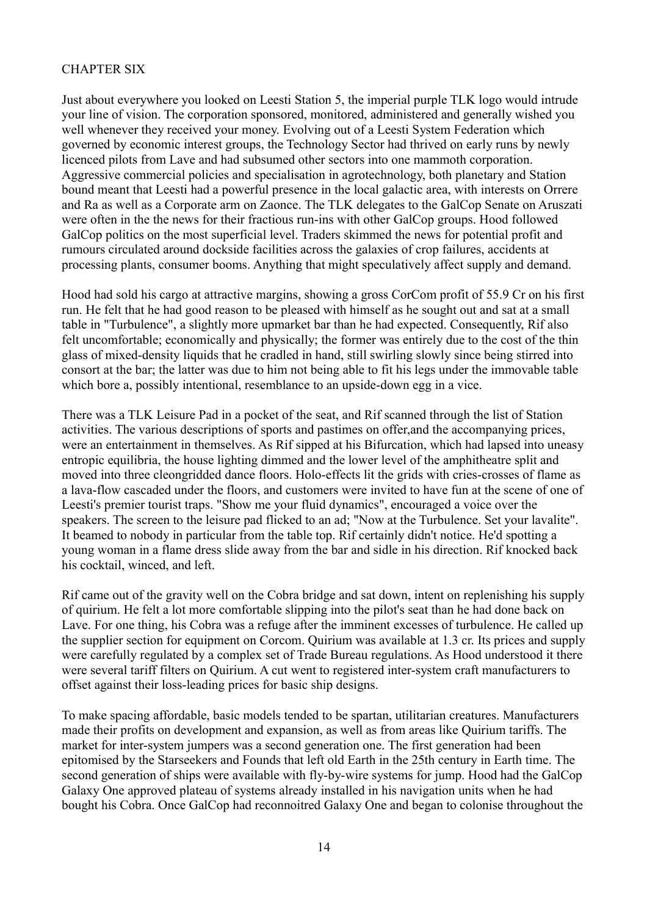# CHAPTER SIX

Just about everywhere you looked on Leesti Station 5, the imperial purple TLK logo would intrude your line of vision. The corporation sponsored, monitored, administered and generally wished you well whenever they received your money. Evolving out of a Leesti System Federation which governed by economic interest groups, the Technology Sector had thrived on early runs by newly licenced pilots from Lave and had subsumed other sectors into one mammoth corporation. Aggressive commercial policies and specialisation in agrotechnology, both planetary and Station bound meant that Leesti had a powerful presence in the local galactic area, with interests on Orrere and Ra as well as a Corporate arm on Zaonce. The TLK delegates to the GalCop Senate on Aruszati were often in the the news for their fractious run-ins with other GalCop groups. Hood followed GalCop politics on the most superficial level. Traders skimmed the news for potential profit and rumours circulated around dockside facilities across the galaxies of crop failures, accidents at processing plants, consumer booms. Anything that might speculatively affect supply and demand.

Hood had sold his cargo at attractive margins, showing a gross CorCom profit of 55.9 Cr on his first run. He felt that he had good reason to be pleased with himself as he sought out and sat at a small table in "Turbulence", a slightly more upmarket bar than he had expected. Consequently, Rif also felt uncomfortable; economically and physically; the former was entirely due to the cost of the thin glass of mixed-density liquids that he cradled in hand, still swirling slowly since being stirred into consort at the bar; the latter was due to him not being able to fit his legs under the immovable table which bore a, possibly intentional, resemblance to an upside-down egg in a vice.

There was a TLK Leisure Pad in a pocket of the seat, and Rif scanned through the list of Station activities. The various descriptions of sports and pastimes on offer,and the accompanying prices, were an entertainment in themselves. As Rif sipped at his Bifurcation, which had lapsed into uneasy entropic equilibria, the house lighting dimmed and the lower level of the amphitheatre split and moved into three cleongridded dance floors. Holo-effects lit the grids with cries-crosses of flame as a lava-flow cascaded under the floors, and customers were invited to have fun at the scene of one of Leesti's premier tourist traps. "Show me your fluid dynamics", encouraged a voice over the speakers. The screen to the leisure pad flicked to an ad; "Now at the Turbulence. Set your lavalite". It beamed to nobody in particular from the table top. Rif certainly didn't notice. He'd spotting a young woman in a flame dress slide away from the bar and sidle in his direction. Rif knocked back his cocktail, winced, and left.

Rif came out of the gravity well on the Cobra bridge and sat down, intent on replenishing his supply of quirium. He felt a lot more comfortable slipping into the pilot's seat than he had done back on Lave. For one thing, his Cobra was a refuge after the imminent excesses of turbulence. He called up the supplier section for equipment on Corcom. Quirium was available at 1.3 cr. Its prices and supply were carefully regulated by a complex set of Trade Bureau regulations. As Hood understood it there were several tariff filters on Quirium. A cut went to registered inter-system craft manufacturers to offset against their loss-leading prices for basic ship designs.

To make spacing affordable, basic models tended to be spartan, utilitarian creatures. Manufacturers made their profits on development and expansion, as well as from areas like Quirium tariffs. The market for inter-system jumpers was a second generation one. The first generation had been epitomised by the Starseekers and Founds that left old Earth in the 25th century in Earth time. The second generation of ships were available with fly-by-wire systems for jump. Hood had the GalCop Galaxy One approved plateau of systems already installed in his navigation units when he had bought his Cobra. Once GalCop had reconnoitred Galaxy One and began to colonise throughout the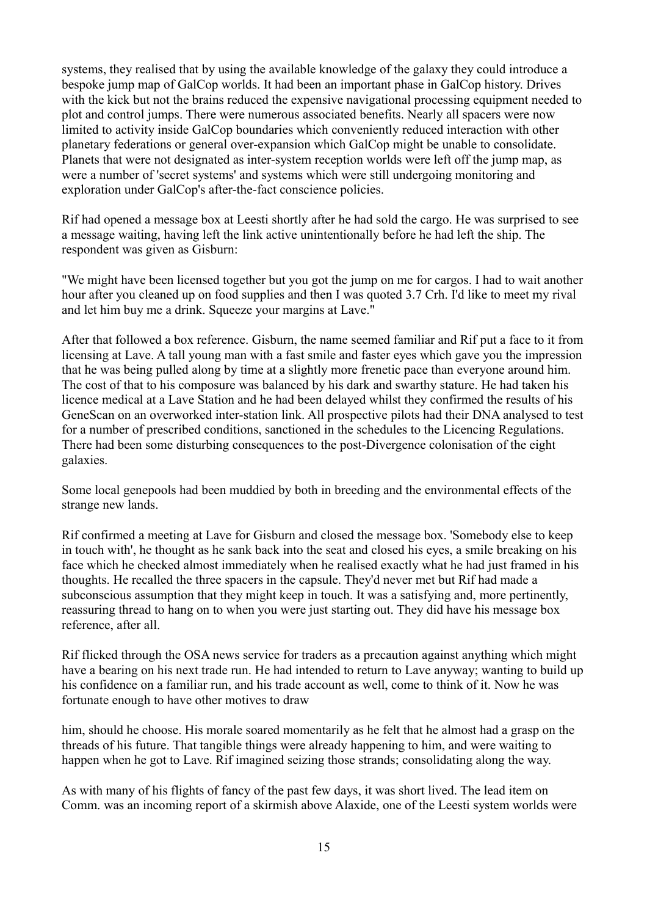systems, they realised that by using the available knowledge of the galaxy they could introduce a bespoke jump map of GalCop worlds. It had been an important phase in GalCop history. Drives with the kick but not the brains reduced the expensive navigational processing equipment needed to plot and control jumps. There were numerous associated benefits. Nearly all spacers were now limited to activity inside GalCop boundaries which conveniently reduced interaction with other planetary federations or general over-expansion which GalCop might be unable to consolidate. Planets that were not designated as inter-system reception worlds were left off the jump map, as were a number of 'secret systems' and systems which were still undergoing monitoring and exploration under GalCop's after-the-fact conscience policies.

Rif had opened a message box at Leesti shortly after he had sold the cargo. He was surprised to see a message waiting, having left the link active unintentionally before he had left the ship. The respondent was given as Gisburn:

"We might have been licensed together but you got the jump on me for cargos. I had to wait another hour after you cleaned up on food supplies and then I was quoted 3.7 Crh. I'd like to meet my rival and let him buy me a drink. Squeeze your margins at Lave."

After that followed a box reference. Gisburn, the name seemed familiar and Rif put a face to it from licensing at Lave. A tall young man with a fast smile and faster eyes which gave you the impression that he was being pulled along by time at a slightly more frenetic pace than everyone around him. The cost of that to his composure was balanced by his dark and swarthy stature. He had taken his licence medical at a Lave Station and he had been delayed whilst they confirmed the results of his GeneScan on an overworked inter-station link. All prospective pilots had their DNA analysed to test for a number of prescribed conditions, sanctioned in the schedules to the Licencing Regulations. There had been some disturbing consequences to the post-Divergence colonisation of the eight galaxies.

Some local genepools had been muddied by both in breeding and the environmental effects of the strange new lands.

Rif confirmed a meeting at Lave for Gisburn and closed the message box. 'Somebody else to keep in touch with', he thought as he sank back into the seat and closed his eyes, a smile breaking on his face which he checked almost immediately when he realised exactly what he had just framed in his thoughts. He recalled the three spacers in the capsule. They'd never met but Rif had made a subconscious assumption that they might keep in touch. It was a satisfying and, more pertinently, reassuring thread to hang on to when you were just starting out. They did have his message box reference, after all.

Rif flicked through the OSA news service for traders as a precaution against anything which might have a bearing on his next trade run. He had intended to return to Lave anyway; wanting to build up his confidence on a familiar run, and his trade account as well, come to think of it. Now he was fortunate enough to have other motives to draw

him, should he choose. His morale soared momentarily as he felt that he almost had a grasp on the threads of his future. That tangible things were already happening to him, and were waiting to happen when he got to Lave. Rif imagined seizing those strands; consolidating along the way.

As with many of his flights of fancy of the past few days, it was short lived. The lead item on Comm. was an incoming report of a skirmish above Alaxide, one of the Leesti system worlds were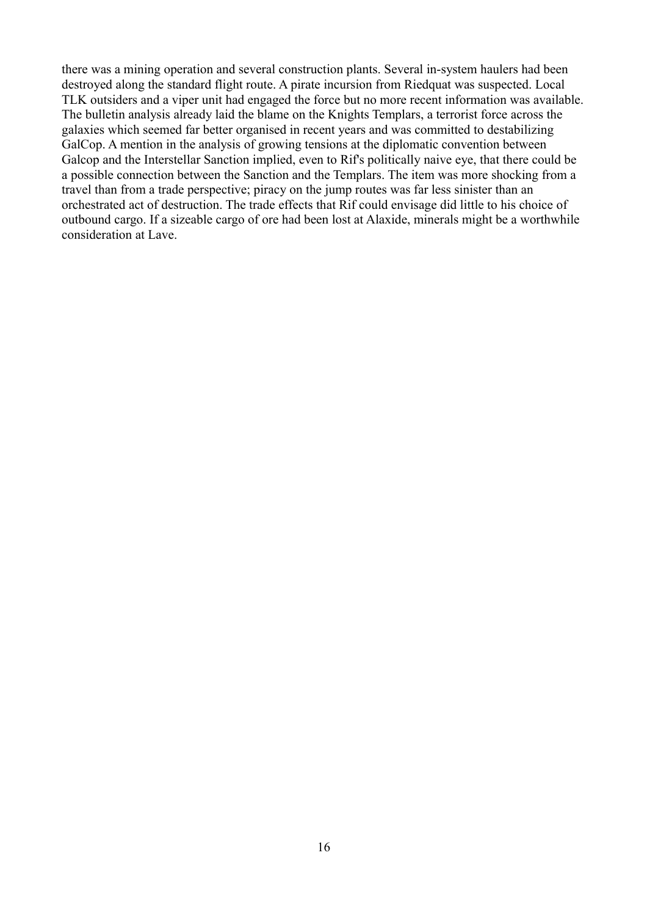there was a mining operation and several construction plants. Several in-system haulers had been destroyed along the standard flight route. A pirate incursion from Riedquat was suspected. Local TLK outsiders and a viper unit had engaged the force but no more recent information was available. The bulletin analysis already laid the blame on the Knights Templars, a terrorist force across the galaxies which seemed far better organised in recent years and was committed to destabilizing GalCop. A mention in the analysis of growing tensions at the diplomatic convention between Galcop and the Interstellar Sanction implied, even to Rif's politically naive eye, that there could be a possible connection between the Sanction and the Templars. The item was more shocking from a travel than from a trade perspective; piracy on the jump routes was far less sinister than an orchestrated act of destruction. The trade effects that Rif could envisage did little to his choice of outbound cargo. If a sizeable cargo of ore had been lost at Alaxide, minerals might be a worthwhile consideration at Lave.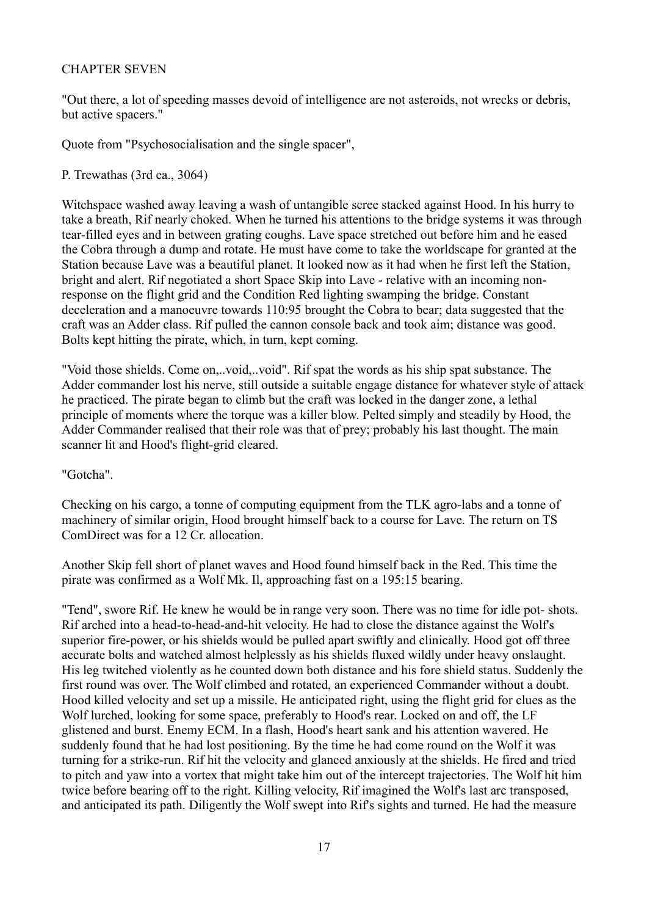# CHAPTER SEVEN

"Out there, a lot of speeding masses devoid of intelligence are not asteroids, not wrecks or debris, but active spacers."

Quote from "Psychosocialisation and the single spacer",

P. Trewathas (3rd ea., 3064)

Witchspace washed away leaving a wash of untangible scree stacked against Hood. In his hurry to take a breath, Rif nearly choked. When he turned his attentions to the bridge systems it was through tear-filled eyes and in between grating coughs. Lave space stretched out before him and he eased the Cobra through a dump and rotate. He must have come to take the worldscape for granted at the Station because Lave was a beautiful planet. It looked now as it had when he first left the Station, bright and alert. Rif negotiated a short Space Skip into Lave - relative with an incoming nonresponse on the flight grid and the Condition Red lighting swamping the bridge. Constant deceleration and a manoeuvre towards 110:95 brought the Cobra to bear; data suggested that the craft was an Adder class. Rif pulled the cannon console back and took aim; distance was good. Bolts kept hitting the pirate, which, in turn, kept coming.

"Void those shields. Come on,..void,..void". Rif spat the words as his ship spat substance. The Adder commander lost his nerve, still outside a suitable engage distance for whatever style of attack he practiced. The pirate began to climb but the craft was locked in the danger zone, a lethal principle of moments where the torque was a killer blow. Pelted simply and steadily by Hood, the Adder Commander realised that their role was that of prey; probably his last thought. The main scanner lit and Hood's flight-grid cleared.

"Gotcha".

Checking on his cargo, a tonne of computing equipment from the TLK agro-labs and a tonne of machinery of similar origin, Hood brought himself back to a course for Lave. The return on TS ComDirect was for a 12 Cr. allocation.

Another Skip fell short of planet waves and Hood found himself back in the Red. This time the pirate was confirmed as a Wolf Mk. Il, approaching fast on a 195:15 bearing.

"Tend", swore Rif. He knew he would be in range very soon. There was no time for idle pot- shots. Rif arched into a head-to-head-and-hit velocity. He had to close the distance against the Wolf's superior fire-power, or his shields would be pulled apart swiftly and clinically. Hood got off three accurate bolts and watched almost helplessly as his shields fluxed wildly under heavy onslaught. His leg twitched violently as he counted down both distance and his fore shield status. Suddenly the first round was over. The Wolf climbed and rotated, an experienced Commander without a doubt. Hood killed velocity and set up a missile. He anticipated right, using the flight grid for clues as the Wolf lurched, looking for some space, preferably to Hood's rear. Locked on and off, the LF glistened and burst. Enemy ECM. In a flash, Hood's heart sank and his attention wavered. He suddenly found that he had lost positioning. By the time he had come round on the Wolf it was turning for a strike-run. Rif hit the velocity and glanced anxiously at the shields. He fired and tried to pitch and yaw into a vortex that might take him out of the intercept trajectories. The Wolf hit him twice before bearing off to the right. Killing velocity, Rif imagined the Wolf's last arc transposed, and anticipated its path. Diligently the Wolf swept into Rif's sights and turned. He had the measure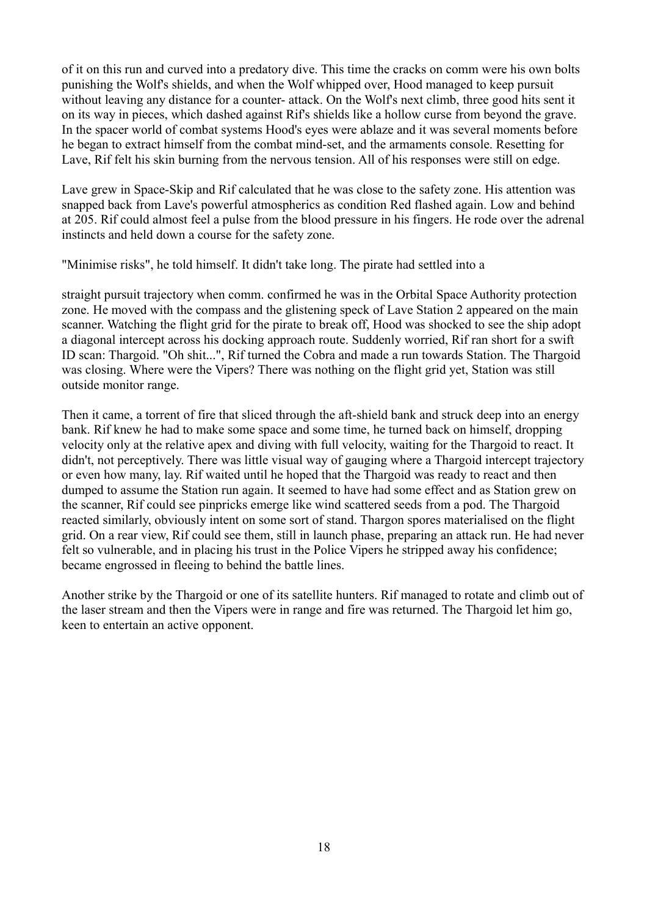of it on this run and curved into a predatory dive. This time the cracks on comm were his own bolts punishing the Wolf's shields, and when the Wolf whipped over, Hood managed to keep pursuit without leaving any distance for a counter- attack. On the Wolf's next climb, three good hits sent it on its way in pieces, which dashed against Rif's shields like a hollow curse from beyond the grave. In the spacer world of combat systems Hood's eyes were ablaze and it was several moments before he began to extract himself from the combat mind-set, and the armaments console. Resetting for Lave, Rif felt his skin burning from the nervous tension. All of his responses were still on edge.

Lave grew in Space-Skip and Rif calculated that he was close to the safety zone. His attention was snapped back from Lave's powerful atmospherics as condition Red flashed again. Low and behind at 205. Rif could almost feel a pulse from the blood pressure in his fingers. He rode over the adrenal instincts and held down a course for the safety zone.

"Minimise risks", he told himself. It didn't take long. The pirate had settled into a

straight pursuit trajectory when comm. confirmed he was in the Orbital Space Authority protection zone. He moved with the compass and the glistening speck of Lave Station 2 appeared on the main scanner. Watching the flight grid for the pirate to break off, Hood was shocked to see the ship adopt a diagonal intercept across his docking approach route. Suddenly worried, Rif ran short for a swift ID scan: Thargoid. "Oh shit...", Rif turned the Cobra and made a run towards Station. The Thargoid was closing. Where were the Vipers? There was nothing on the flight grid yet, Station was still outside monitor range.

Then it came, a torrent of fire that sliced through the aft-shield bank and struck deep into an energy bank. Rif knew he had to make some space and some time, he turned back on himself, dropping velocity only at the relative apex and diving with full velocity, waiting for the Thargoid to react. It didn't, not perceptively. There was little visual way of gauging where a Thargoid intercept trajectory or even how many, lay. Rif waited until he hoped that the Thargoid was ready to react and then dumped to assume the Station run again. It seemed to have had some effect and as Station grew on the scanner, Rif could see pinpricks emerge like wind scattered seeds from a pod. The Thargoid reacted similarly, obviously intent on some sort of stand. Thargon spores materialised on the flight grid. On a rear view, Rif could see them, still in launch phase, preparing an attack run. He had never felt so vulnerable, and in placing his trust in the Police Vipers he stripped away his confidence; became engrossed in fleeing to behind the battle lines.

Another strike by the Thargoid or one of its satellite hunters. Rif managed to rotate and climb out of the laser stream and then the Vipers were in range and fire was returned. The Thargoid let him go, keen to entertain an active opponent.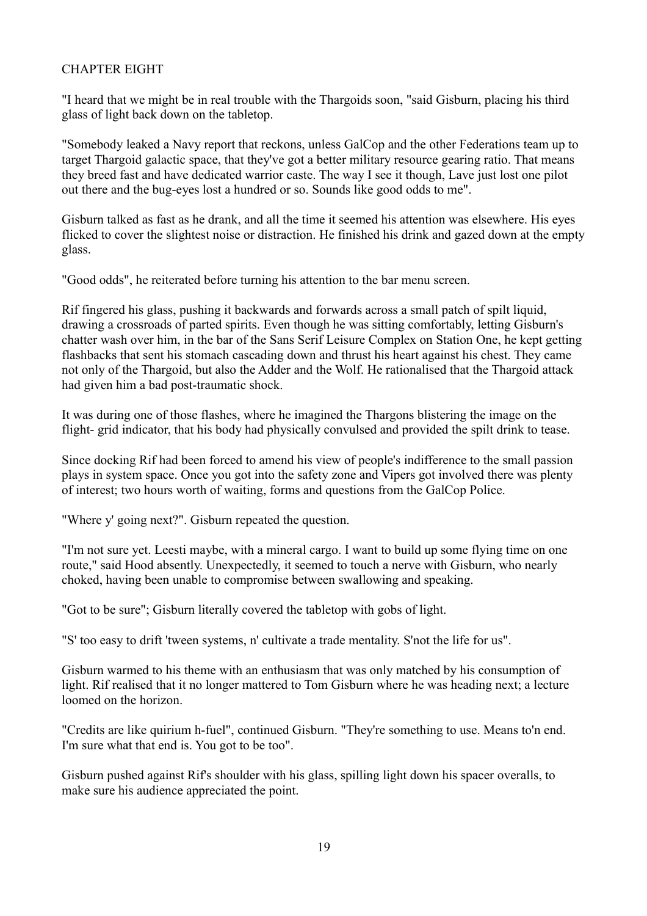# CHAPTER EIGHT

"I heard that we might be in real trouble with the Thargoids soon, "said Gisburn, placing his third glass of light back down on the tabletop.

"Somebody leaked a Navy report that reckons, unless GalCop and the other Federations team up to target Thargoid galactic space, that they've got a better military resource gearing ratio. That means they breed fast and have dedicated warrior caste. The way I see it though, Lave just lost one pilot out there and the bug-eyes lost a hundred or so. Sounds like good odds to me".

Gisburn talked as fast as he drank, and all the time it seemed his attention was elsewhere. His eyes flicked to cover the slightest noise or distraction. He finished his drink and gazed down at the empty glass.

"Good odds", he reiterated before turning his attention to the bar menu screen.

Rif fingered his glass, pushing it backwards and forwards across a small patch of spilt liquid, drawing a crossroads of parted spirits. Even though he was sitting comfortably, letting Gisburn's chatter wash over him, in the bar of the Sans Serif Leisure Complex on Station One, he kept getting flashbacks that sent his stomach cascading down and thrust his heart against his chest. They came not only of the Thargoid, but also the Adder and the Wolf. He rationalised that the Thargoid attack had given him a bad post-traumatic shock.

It was during one of those flashes, where he imagined the Thargons blistering the image on the flight- grid indicator, that his body had physically convulsed and provided the spilt drink to tease.

Since docking Rif had been forced to amend his view of people's indifference to the small passion plays in system space. Once you got into the safety zone and Vipers got involved there was plenty of interest; two hours worth of waiting, forms and questions from the GalCop Police.

"Where y' going next?". Gisburn repeated the question.

"I'm not sure yet. Leesti maybe, with a mineral cargo. I want to build up some flying time on one route," said Hood absently. Unexpectedly, it seemed to touch a nerve with Gisburn, who nearly choked, having been unable to compromise between swallowing and speaking.

"Got to be sure"; Gisburn literally covered the tabletop with gobs of light.

"S' too easy to drift 'tween systems, n' cultivate a trade mentality. S'not the life for us".

Gisburn warmed to his theme with an enthusiasm that was only matched by his consumption of light. Rif realised that it no longer mattered to Tom Gisburn where he was heading next; a lecture loomed on the horizon.

"Credits are like quirium h-fuel", continued Gisburn. "They're something to use. Means to'n end. I'm sure what that end is. You got to be too".

Gisburn pushed against Rif's shoulder with his glass, spilling light down his spacer overalls, to make sure his audience appreciated the point.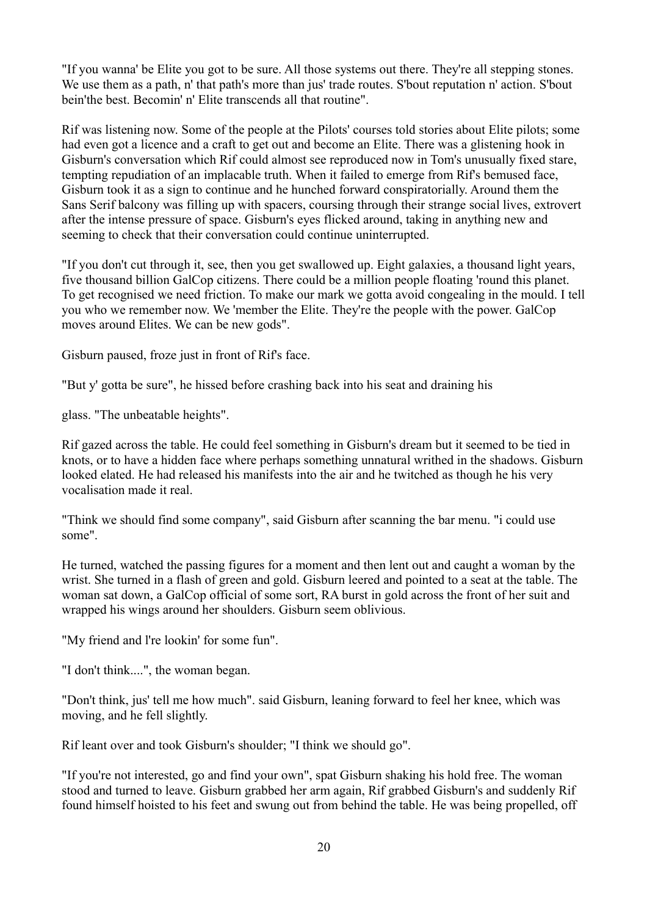"If you wanna' be Elite you got to be sure. All those systems out there. They're all stepping stones. We use them as a path, n' that path's more than jus' trade routes. S'bout reputation n' action. S'bout bein'the best. Becomin' n' Elite transcends all that routine".

Rif was listening now. Some of the people at the Pilots' courses told stories about Elite pilots; some had even got a licence and a craft to get out and become an Elite. There was a glistening hook in Gisburn's conversation which Rif could almost see reproduced now in Tom's unusually fixed stare, tempting repudiation of an implacable truth. When it failed to emerge from Rif's bemused face, Gisburn took it as a sign to continue and he hunched forward conspiratorially. Around them the Sans Serif balcony was filling up with spacers, coursing through their strange social lives, extrovert after the intense pressure of space. Gisburn's eyes flicked around, taking in anything new and seeming to check that their conversation could continue uninterrupted.

"If you don't cut through it, see, then you get swallowed up. Eight galaxies, a thousand light years, five thousand billion GalCop citizens. There could be a million people floating 'round this planet. To get recognised we need friction. To make our mark we gotta avoid congealing in the mould. I tell you who we remember now. We 'member the Elite. They're the people with the power. GalCop moves around Elites. We can be new gods".

Gisburn paused, froze just in front of Rif's face.

"But y' gotta be sure", he hissed before crashing back into his seat and draining his

glass. "The unbeatable heights".

Rif gazed across the table. He could feel something in Gisburn's dream but it seemed to be tied in knots, or to have a hidden face where perhaps something unnatural writhed in the shadows. Gisburn looked elated. He had released his manifests into the air and he twitched as though he his very vocalisation made it real.

"Think we should find some company", said Gisburn after scanning the bar menu. "i could use some".

He turned, watched the passing figures for a moment and then lent out and caught a woman by the wrist. She turned in a flash of green and gold. Gisburn leered and pointed to a seat at the table. The woman sat down, a GalCop official of some sort, RA burst in gold across the front of her suit and wrapped his wings around her shoulders. Gisburn seem oblivious.

"My friend and l're lookin' for some fun".

"I don't think....", the woman began.

"Don't think, jus' tell me how much". said Gisburn, leaning forward to feel her knee, which was moving, and he fell slightly.

Rif leant over and took Gisburn's shoulder; "I think we should go".

"If you're not interested, go and find your own", spat Gisburn shaking his hold free. The woman stood and turned to leave. Gisburn grabbed her arm again, Rif grabbed Gisburn's and suddenly Rif found himself hoisted to his feet and swung out from behind the table. He was being propelled, off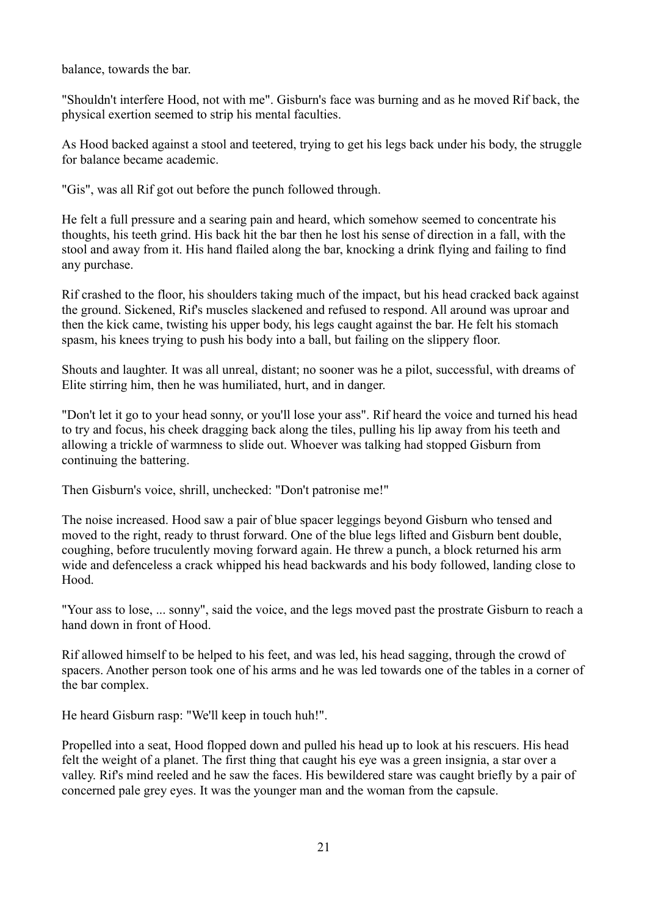balance, towards the bar.

"Shouldn't interfere Hood, not with me". Gisburn's face was burning and as he moved Rif back, the physical exertion seemed to strip his mental faculties.

As Hood backed against a stool and teetered, trying to get his legs back under his body, the struggle for balance became academic.

"Gis", was all Rif got out before the punch followed through.

He felt a full pressure and a searing pain and heard, which somehow seemed to concentrate his thoughts, his teeth grind. His back hit the bar then he lost his sense of direction in a fall, with the stool and away from it. His hand flailed along the bar, knocking a drink flying and failing to find any purchase.

Rif crashed to the floor, his shoulders taking much of the impact, but his head cracked back against the ground. Sickened, Rif's muscles slackened and refused to respond. All around was uproar and then the kick came, twisting his upper body, his legs caught against the bar. He felt his stomach spasm, his knees trying to push his body into a ball, but failing on the slippery floor.

Shouts and laughter. It was all unreal, distant; no sooner was he a pilot, successful, with dreams of Elite stirring him, then he was humiliated, hurt, and in danger.

"Don't let it go to your head sonny, or you'll lose your ass". Rif heard the voice and turned his head to try and focus, his cheek dragging back along the tiles, pulling his lip away from his teeth and allowing a trickle of warmness to slide out. Whoever was talking had stopped Gisburn from continuing the battering.

Then Gisburn's voice, shrill, unchecked: "Don't patronise me!"

The noise increased. Hood saw a pair of blue spacer leggings beyond Gisburn who tensed and moved to the right, ready to thrust forward. One of the blue legs lifted and Gisburn bent double, coughing, before truculently moving forward again. He threw a punch, a block returned his arm wide and defenceless a crack whipped his head backwards and his body followed, landing close to Hood.

"Your ass to lose, ... sonny", said the voice, and the legs moved past the prostrate Gisburn to reach a hand down in front of Hood.

Rif allowed himself to be helped to his feet, and was led, his head sagging, through the crowd of spacers. Another person took one of his arms and he was led towards one of the tables in a corner of the bar complex.

He heard Gisburn rasp: "We'll keep in touch huh!".

Propelled into a seat, Hood flopped down and pulled his head up to look at his rescuers. His head felt the weight of a planet. The first thing that caught his eye was a green insignia, a star over a valley. Rif's mind reeled and he saw the faces. His bewildered stare was caught briefly by a pair of concerned pale grey eyes. It was the younger man and the woman from the capsule.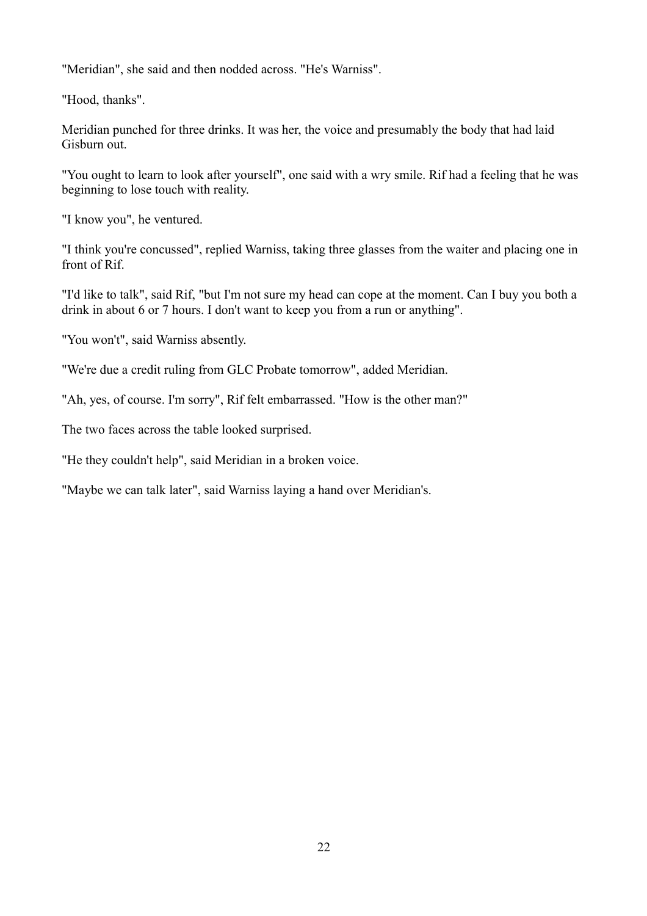"Meridian", she said and then nodded across. "He's Warniss".

"Hood, thanks".

Meridian punched for three drinks. It was her, the voice and presumably the body that had laid Gisburn out.

"You ought to learn to look after yourself", one said with a wry smile. Rif had a feeling that he was beginning to lose touch with reality.

"I know you", he ventured.

"I think you're concussed", replied Warniss, taking three glasses from the waiter and placing one in front of Rif.

"I'd like to talk", said Rif, "but I'm not sure my head can cope at the moment. Can I buy you both a drink in about 6 or 7 hours. I don't want to keep you from a run or anything".

"You won't", said Warniss absently.

"We're due a credit ruling from GLC Probate tomorrow", added Meridian.

"Ah, yes, of course. I'm sorry", Rif felt embarrassed. "How is the other man?"

The two faces across the table looked surprised.

"He they couldn't help", said Meridian in a broken voice.

"Maybe we can talk later", said Warniss laying a hand over Meridian's.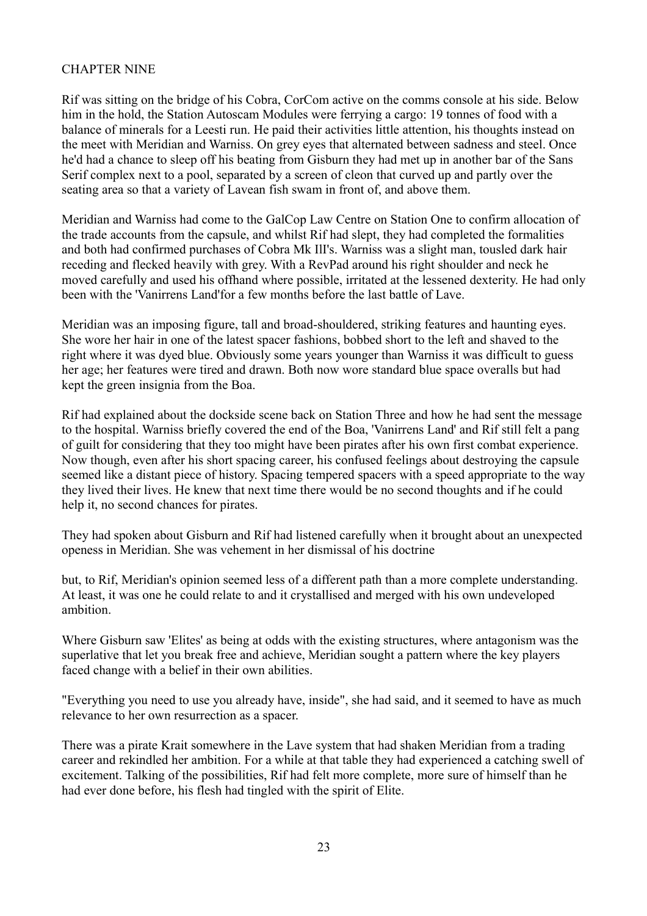### CHAPTER NINE

Rif was sitting on the bridge of his Cobra, CorCom active on the comms console at his side. Below him in the hold, the Station Autoscam Modules were ferrying a cargo: 19 tonnes of food with a balance of minerals for a Leesti run. He paid their activities little attention, his thoughts instead on the meet with Meridian and Warniss. On grey eyes that alternated between sadness and steel. Once he'd had a chance to sleep off his beating from Gisburn they had met up in another bar of the Sans Serif complex next to a pool, separated by a screen of cleon that curved up and partly over the seating area so that a variety of Lavean fish swam in front of, and above them.

Meridian and Warniss had come to the GalCop Law Centre on Station One to confirm allocation of the trade accounts from the capsule, and whilst Rif had slept, they had completed the formalities and both had confirmed purchases of Cobra Mk IlI's. Warniss was a slight man, tousled dark hair receding and flecked heavily with grey. With a RevPad around his right shoulder and neck he moved carefully and used his offhand where possible, irritated at the lessened dexterity. He had only been with the 'Vanirrens Land'for a few months before the last battle of Lave.

Meridian was an imposing figure, tall and broad-shouldered, striking features and haunting eyes. She wore her hair in one of the latest spacer fashions, bobbed short to the left and shaved to the right where it was dyed blue. Obviously some years younger than Warniss it was difficult to guess her age; her features were tired and drawn. Both now wore standard blue space overalls but had kept the green insignia from the Boa.

Rif had explained about the dockside scene back on Station Three and how he had sent the message to the hospital. Warniss briefly covered the end of the Boa, 'Vanirrens Land' and Rif still felt a pang of guilt for considering that they too might have been pirates after his own first combat experience. Now though, even after his short spacing career, his confused feelings about destroying the capsule seemed like a distant piece of history. Spacing tempered spacers with a speed appropriate to the way they lived their lives. He knew that next time there would be no second thoughts and if he could help it, no second chances for pirates.

They had spoken about Gisburn and Rif had listened carefully when it brought about an unexpected openess in Meridian. She was vehement in her dismissal of his doctrine

but, to Rif, Meridian's opinion seemed less of a different path than a more complete understanding. At least, it was one he could relate to and it crystallised and merged with his own undeveloped ambition.

Where Gisburn saw 'Elites' as being at odds with the existing structures, where antagonism was the superlative that let you break free and achieve, Meridian sought a pattern where the key players faced change with a belief in their own abilities.

"Everything you need to use you already have, inside", she had said, and it seemed to have as much relevance to her own resurrection as a spacer.

There was a pirate Krait somewhere in the Lave system that had shaken Meridian from a trading career and rekindled her ambition. For a while at that table they had experienced a catching swell of excitement. Talking of the possibilities, Rif had felt more complete, more sure of himself than he had ever done before, his flesh had tingled with the spirit of Elite.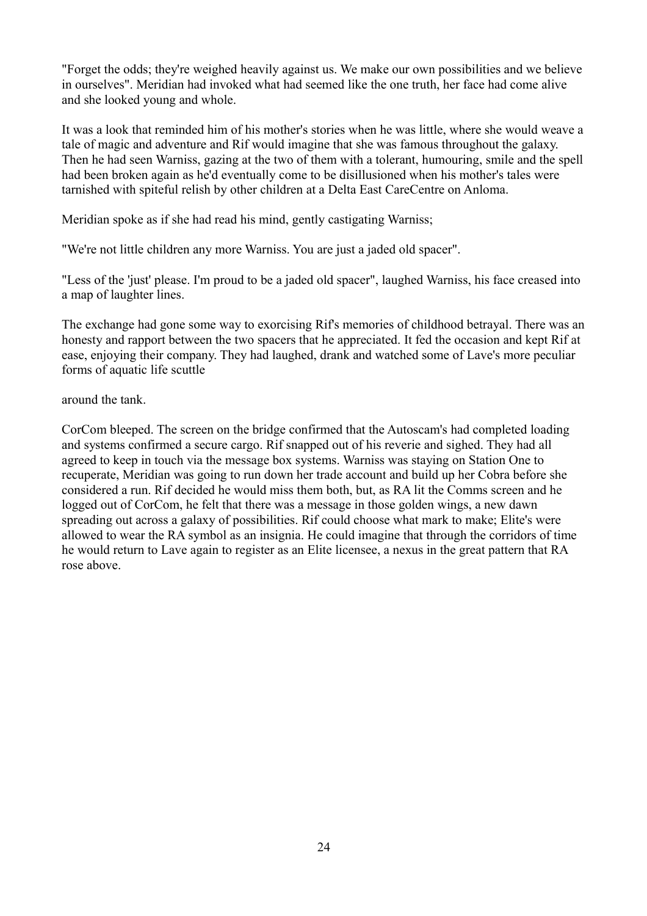"Forget the odds; they're weighed heavily against us. We make our own possibilities and we believe in ourselves". Meridian had invoked what had seemed like the one truth, her face had come alive and she looked young and whole.

It was a look that reminded him of his mother's stories when he was little, where she would weave a tale of magic and adventure and Rif would imagine that she was famous throughout the galaxy. Then he had seen Warniss, gazing at the two of them with a tolerant, humouring, smile and the spell had been broken again as he'd eventually come to be disillusioned when his mother's tales were tarnished with spiteful relish by other children at a Delta East CareCentre on Anloma.

Meridian spoke as if she had read his mind, gently castigating Warniss;

"We're not little children any more Warniss. You are just a jaded old spacer".

"Less of the 'just' please. I'm proud to be a jaded old spacer", laughed Warniss, his face creased into a map of laughter lines.

The exchange had gone some way to exorcising Rif's memories of childhood betrayal. There was an honesty and rapport between the two spacers that he appreciated. It fed the occasion and kept Rif at ease, enjoying their company. They had laughed, drank and watched some of Lave's more peculiar forms of aquatic life scuttle

#### around the tank.

CorCom bleeped. The screen on the bridge confirmed that the Autoscam's had completed loading and systems confirmed a secure cargo. Rif snapped out of his reverie and sighed. They had all agreed to keep in touch via the message box systems. Warniss was staying on Station One to recuperate, Meridian was going to run down her trade account and build up her Cobra before she considered a run. Rif decided he would miss them both, but, as RA lit the Comms screen and he logged out of CorCom, he felt that there was a message in those golden wings, a new dawn spreading out across a galaxy of possibilities. Rif could choose what mark to make; Elite's were allowed to wear the RA symbol as an insignia. He could imagine that through the corridors of time he would return to Lave again to register as an Elite licensee, a nexus in the great pattern that RA rose above.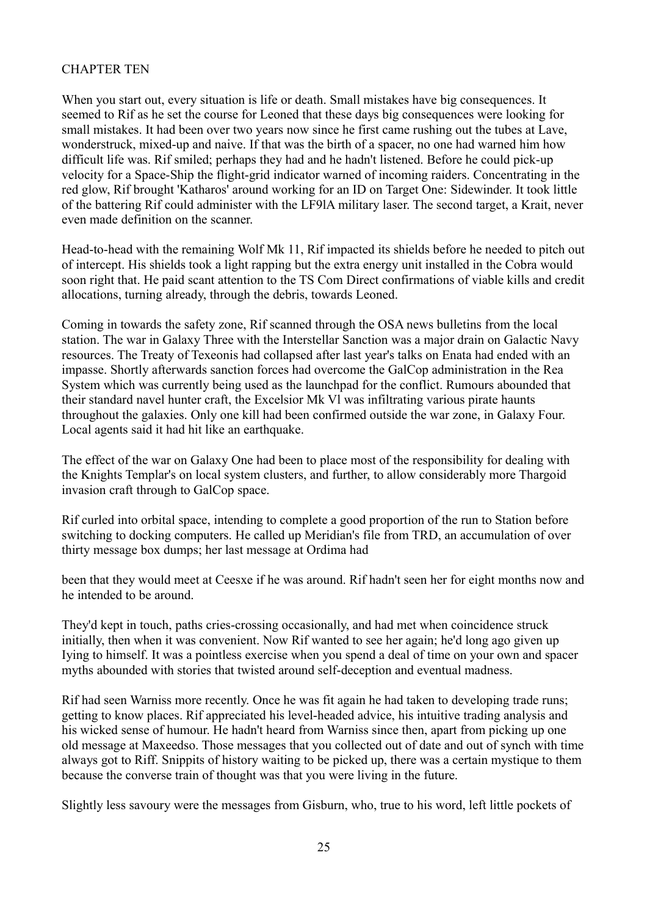# CHAPTER TEN

When you start out, every situation is life or death. Small mistakes have big consequences. It seemed to Rif as he set the course for Leoned that these days big consequences were looking for small mistakes. It had been over two years now since he first came rushing out the tubes at Lave, wonderstruck, mixed-up and naive. If that was the birth of a spacer, no one had warned him how difficult life was. Rif smiled; perhaps they had and he hadn't listened. Before he could pick-up velocity for a Space-Ship the flight-grid indicator warned of incoming raiders. Concentrating in the red glow, Rif brought 'Katharos' around working for an ID on Target One: Sidewinder. It took little of the battering Rif could administer with the LF9lA military laser. The second target, a Krait, never even made definition on the scanner.

Head-to-head with the remaining Wolf Mk 11, Rif impacted its shields before he needed to pitch out of intercept. His shields took a light rapping but the extra energy unit installed in the Cobra would soon right that. He paid scant attention to the TS Com Direct confirmations of viable kills and credit allocations, turning already, through the debris, towards Leoned.

Coming in towards the safety zone, Rif scanned through the OSA news bulletins from the local station. The war in Galaxy Three with the Interstellar Sanction was a major drain on Galactic Navy resources. The Treaty of Texeonis had collapsed after last year's talks on Enata had ended with an impasse. Shortly afterwards sanction forces had overcome the GalCop administration in the Rea System which was currently being used as the launchpad for the conflict. Rumours abounded that their standard navel hunter craft, the Excelsior Mk Vl was infiltrating various pirate haunts throughout the galaxies. Only one kill had been confirmed outside the war zone, in Galaxy Four. Local agents said it had hit like an earthquake.

The effect of the war on Galaxy One had been to place most of the responsibility for dealing with the Knights Templar's on local system clusters, and further, to allow considerably more Thargoid invasion craft through to GalCop space.

Rif curled into orbital space, intending to complete a good proportion of the run to Station before switching to docking computers. He called up Meridian's file from TRD, an accumulation of over thirty message box dumps; her last message at Ordima had

been that they would meet at Ceesxe if he was around. Rif hadn't seen her for eight months now and he intended to be around.

They'd kept in touch, paths cries-crossing occasionally, and had met when coincidence struck initially, then when it was convenient. Now Rif wanted to see her again; he'd long ago given up Iying to himself. It was a pointless exercise when you spend a deal of time on your own and spacer myths abounded with stories that twisted around self-deception and eventual madness.

Rif had seen Warniss more recently. Once he was fit again he had taken to developing trade runs; getting to know places. Rif appreciated his level-headed advice, his intuitive trading analysis and his wicked sense of humour. He hadn't heard from Warniss since then, apart from picking up one old message at Maxeedso. Those messages that you collected out of date and out of synch with time always got to Riff. Snippits of history waiting to be picked up, there was a certain mystique to them because the converse train of thought was that you were living in the future.

Slightly less savoury were the messages from Gisburn, who, true to his word, left little pockets of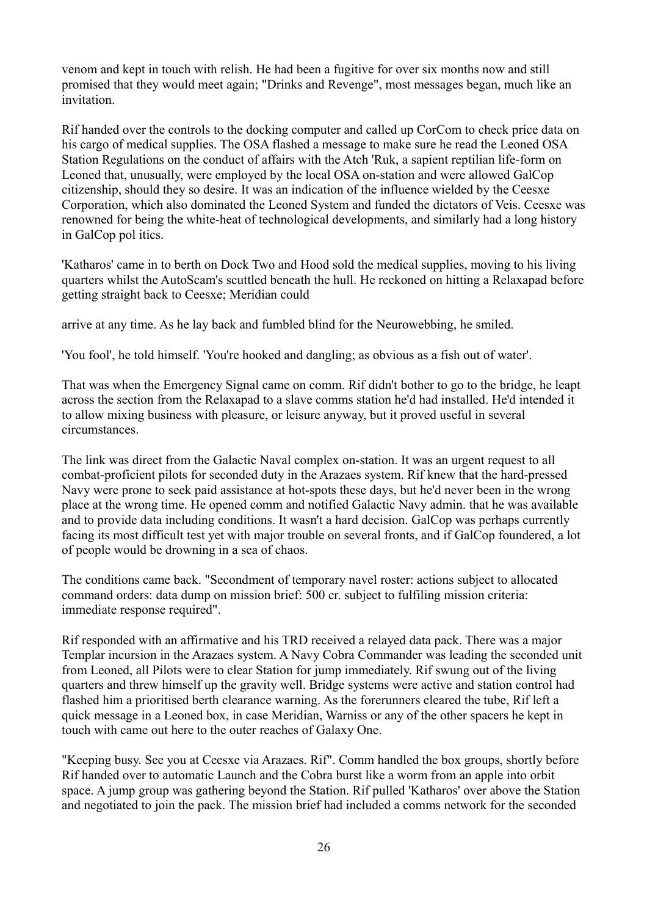venom and kept in touch with relish. He had been a fugitive for over six months now and still promised that they would meet again; "Drinks and Revenge", most messages began, much like an invitation.

Rif handed over the controls to the docking computer and called up CorCom to check price data on his cargo of medical supplies. The OSA flashed a message to make sure he read the Leoned OSA Station Regulations on the conduct of affairs with the Atch 'Ruk, a sapient reptilian life-form on Leoned that, unusually, were employed by the local OSA on-station and were allowed GalCop citizenship, should they so desire. It was an indication of the influence wielded by the Ceesxe Corporation, which also dominated the Leoned System and funded the dictators of Veis. Ceesxe was renowned for being the white-heat of technological developments, and similarly had a long history in GalCop pol itics.

'Katharos' came in to berth on Dock Two and Hood sold the medical supplies, moving to his living quarters whilst the AutoScam's scuttled beneath the hull. He reckoned on hitting a Relaxapad before getting straight back to Ceesxe; Meridian could

arrive at any time. As he lay back and fumbled blind for the Neurowebbing, he smiled.

'You fool', he told himself. 'You're hooked and dangling; as obvious as a fish out of water'.

That was when the Emergency Signal came on comm. Rif didn't bother to go to the bridge, he leapt across the section from the Relaxapad to a slave comms station he'd had installed. He'd intended it to allow mixing business with pleasure, or leisure anyway, but it proved useful in several circumstances.

The link was direct from the Galactic Naval complex on-station. It was an urgent request to all combat-proficient pilots for seconded duty in the Arazaes system. Rif knew that the hard-pressed Navy were prone to seek paid assistance at hot-spots these days, but he'd never been in the wrong place at the wrong time. He opened comm and notified Galactic Navy admin. that he was available and to provide data including conditions. It wasn't a hard decision. GalCop was perhaps currently facing its most difficult test yet with major trouble on several fronts, and if GalCop foundered, a lot of people would be drowning in a sea of chaos.

The conditions came back. "Secondment of temporary navel roster: actions subject to allocated command orders: data dump on mission brief: 500 cr. subject to fulfiling mission criteria: immediate response required".

Rif responded with an affirmative and his TRD received a relayed data pack. There was a major Templar incursion in the Arazaes system. A Navy Cobra Commander was leading the seconded unit from Leoned, all Pilots were to clear Station for jump immediately. Rif swung out of the living quarters and threw himself up the gravity well. Bridge systems were active and station control had flashed him a prioritised berth clearance warning. As the forerunners cleared the tube, Rif left a quick message in a Leoned box, in case Meridian, Warniss or any of the other spacers he kept in touch with came out here to the outer reaches of Galaxy One.

"Keeping busy. See you at Ceesxe via Arazaes. Rif". Comm handled the box groups, shortly before Rif handed over to automatic Launch and the Cobra burst like a worm from an apple into orbit space. A jump group was gathering beyond the Station. Rif pulled 'Katharos' over above the Station and negotiated to join the pack. The mission brief had included a comms network for the seconded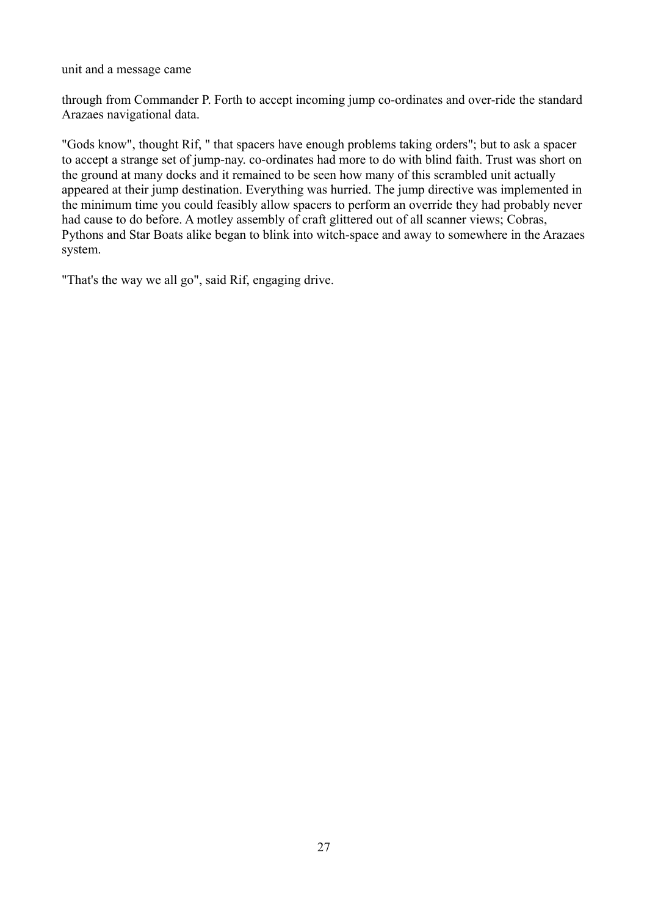unit and a message came

through from Commander P. Forth to accept incoming jump co-ordinates and over-ride the standard Arazaes navigational data.

"Gods know", thought Rif, " that spacers have enough problems taking orders"; but to ask a spacer to accept a strange set of jump-nay. co-ordinates had more to do with blind faith. Trust was short on the ground at many docks and it remained to be seen how many of this scrambled unit actually appeared at their jump destination. Everything was hurried. The jump directive was implemented in the minimum time you could feasibly allow spacers to perform an override they had probably never had cause to do before. A motley assembly of craft glittered out of all scanner views; Cobras, Pythons and Star Boats alike began to blink into witch-space and away to somewhere in the Arazaes system.

"That's the way we all go", said Rif, engaging drive.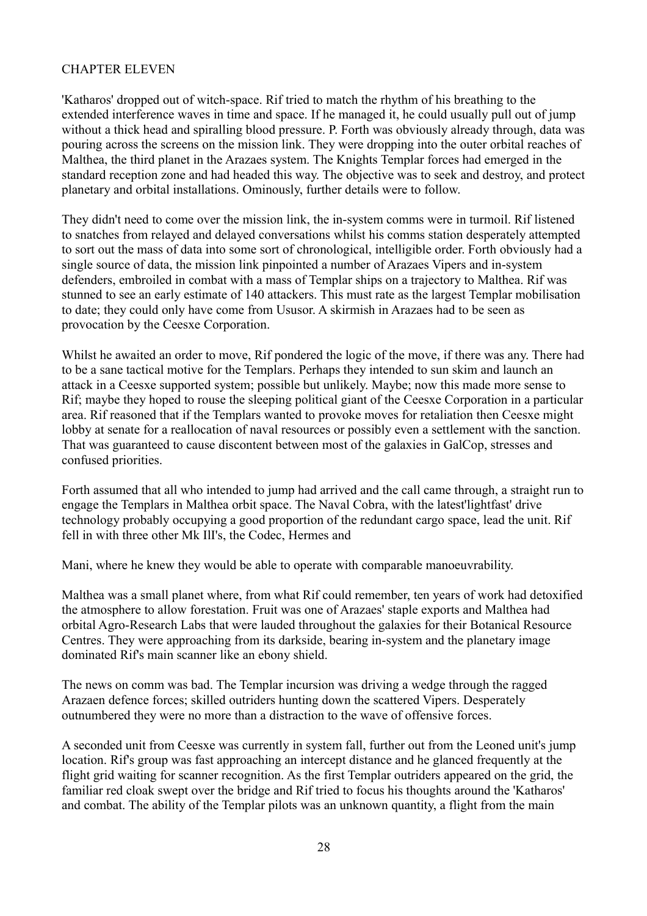#### CHAPTER ELEVEN

'Katharos' dropped out of witch-space. Rif tried to match the rhythm of his breathing to the extended interference waves in time and space. If he managed it, he could usually pull out of jump without a thick head and spiralling blood pressure. P. Forth was obviously already through, data was pouring across the screens on the mission link. They were dropping into the outer orbital reaches of Malthea, the third planet in the Arazaes system. The Knights Templar forces had emerged in the standard reception zone and had headed this way. The objective was to seek and destroy, and protect planetary and orbital installations. Ominously, further details were to follow.

They didn't need to come over the mission link, the in-system comms were in turmoil. Rif listened to snatches from relayed and delayed conversations whilst his comms station desperately attempted to sort out the mass of data into some sort of chronological, intelligible order. Forth obviously had a single source of data, the mission link pinpointed a number of Arazaes Vipers and in-system defenders, embroiled in combat with a mass of Templar ships on a trajectory to Malthea. Rif was stunned to see an early estimate of 140 attackers. This must rate as the largest Templar mobilisation to date; they could only have come from Ususor. A skirmish in Arazaes had to be seen as provocation by the Ceesxe Corporation.

Whilst he awaited an order to move, Rif pondered the logic of the move, if there was any. There had to be a sane tactical motive for the Templars. Perhaps they intended to sun skim and launch an attack in a Ceesxe supported system; possible but unlikely. Maybe; now this made more sense to Rif; maybe they hoped to rouse the sleeping political giant of the Ceesxe Corporation in a particular area. Rif reasoned that if the Templars wanted to provoke moves for retaliation then Ceesxe might lobby at senate for a reallocation of naval resources or possibly even a settlement with the sanction. That was guaranteed to cause discontent between most of the galaxies in GalCop, stresses and confused priorities.

Forth assumed that all who intended to jump had arrived and the call came through, a straight run to engage the Templars in Malthea orbit space. The Naval Cobra, with the latest'lightfast' drive technology probably occupying a good proportion of the redundant cargo space, lead the unit. Rif fell in with three other Mk IlI's, the Codec, Hermes and

Mani, where he knew they would be able to operate with comparable manoeuvrability.

Malthea was a small planet where, from what Rif could remember, ten years of work had detoxified the atmosphere to allow forestation. Fruit was one of Arazaes' staple exports and Malthea had orbital Agro-Research Labs that were lauded throughout the galaxies for their Botanical Resource Centres. They were approaching from its darkside, bearing in-system and the planetary image dominated Rif's main scanner like an ebony shield.

The news on comm was bad. The Templar incursion was driving a wedge through the ragged Arazaen defence forces; skilled outriders hunting down the scattered Vipers. Desperately outnumbered they were no more than a distraction to the wave of offensive forces.

A seconded unit from Ceesxe was currently in system fall, further out from the Leoned unit's jump location. Rif's group was fast approaching an intercept distance and he glanced frequently at the flight grid waiting for scanner recognition. As the first Templar outriders appeared on the grid, the familiar red cloak swept over the bridge and Rif tried to focus his thoughts around the 'Katharos' and combat. The ability of the Templar pilots was an unknown quantity, a flight from the main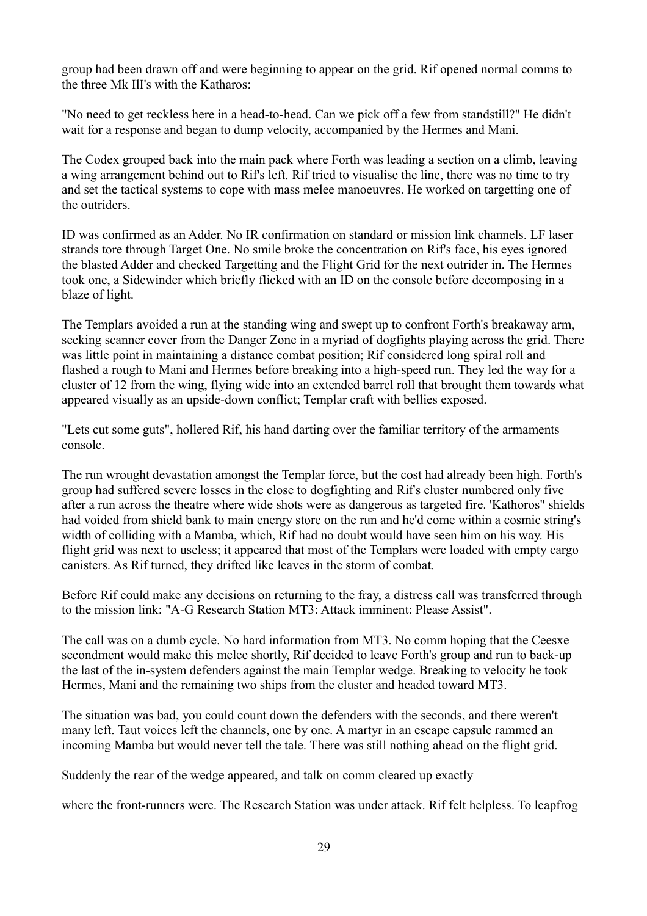group had been drawn off and were beginning to appear on the grid. Rif opened normal comms to the three Mk IlI's with the Katharos:

"No need to get reckless here in a head-to-head. Can we pick off a few from standstill?" He didn't wait for a response and began to dump velocity, accompanied by the Hermes and Mani.

The Codex grouped back into the main pack where Forth was leading a section on a climb, leaving a wing arrangement behind out to Rif's left. Rif tried to visualise the line, there was no time to try and set the tactical systems to cope with mass melee manoeuvres. He worked on targetting one of the outriders.

ID was confirmed as an Adder. No IR confirmation on standard or mission link channels. LF laser strands tore through Target One. No smile broke the concentration on Rif's face, his eyes ignored the blasted Adder and checked Targetting and the Flight Grid for the next outrider in. The Hermes took one, a Sidewinder which briefly flicked with an ID on the console before decomposing in a blaze of light.

The Templars avoided a run at the standing wing and swept up to confront Forth's breakaway arm, seeking scanner cover from the Danger Zone in a myriad of dogfights playing across the grid. There was little point in maintaining a distance combat position; Rif considered long spiral roll and flashed a rough to Mani and Hermes before breaking into a high-speed run. They led the way for a cluster of 12 from the wing, flying wide into an extended barrel roll that brought them towards what appeared visually as an upside-down conflict; Templar craft with bellies exposed.

"Lets cut some guts", hollered Rif, his hand darting over the familiar territory of the armaments console.

The run wrought devastation amongst the Templar force, but the cost had already been high. Forth's group had suffered severe losses in the close to dogfighting and Rif's cluster numbered only five after a run across the theatre where wide shots were as dangerous as targeted fire. 'Kathoros" shields had voided from shield bank to main energy store on the run and he'd come within a cosmic string's width of colliding with a Mamba, which, Rif had no doubt would have seen him on his way. His flight grid was next to useless; it appeared that most of the Templars were loaded with empty cargo canisters. As Rif turned, they drifted like leaves in the storm of combat.

Before Rif could make any decisions on returning to the fray, a distress call was transferred through to the mission link: "A-G Research Station MT3: Attack imminent: Please Assist".

The call was on a dumb cycle. No hard information from MT3. No comm hoping that the Ceesxe secondment would make this melee shortly, Rif decided to leave Forth's group and run to back-up the last of the in-system defenders against the main Templar wedge. Breaking to velocity he took Hermes, Mani and the remaining two ships from the cluster and headed toward MT3.

The situation was bad, you could count down the defenders with the seconds, and there weren't many left. Taut voices left the channels, one by one. A martyr in an escape capsule rammed an incoming Mamba but would never tell the tale. There was still nothing ahead on the flight grid.

Suddenly the rear of the wedge appeared, and talk on comm cleared up exactly

where the front-runners were. The Research Station was under attack. Rif felt helpless. To leapfrog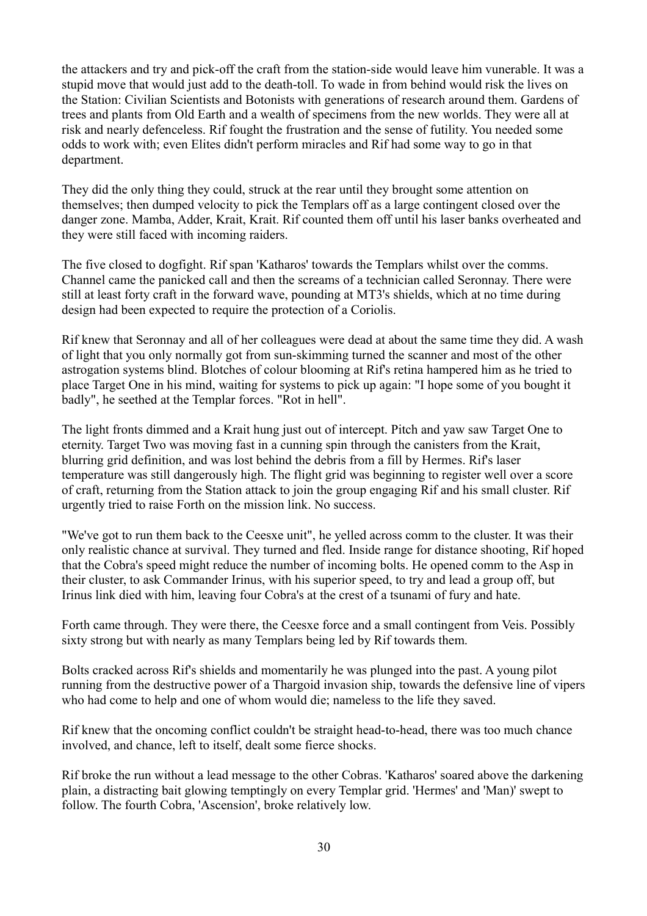the attackers and try and pick-off the craft from the station-side would leave him vunerable. It was a stupid move that would just add to the death-toll. To wade in from behind would risk the lives on the Station: Civilian Scientists and Botonists with generations of research around them. Gardens of trees and plants from Old Earth and a wealth of specimens from the new worlds. They were all at risk and nearly defenceless. Rif fought the frustration and the sense of futility. You needed some odds to work with; even Elites didn't perform miracles and Rif had some way to go in that department.

They did the only thing they could, struck at the rear until they brought some attention on themselves; then dumped velocity to pick the Templars off as a large contingent closed over the danger zone. Mamba, Adder, Krait, Krait. Rif counted them off until his laser banks overheated and they were still faced with incoming raiders.

The five closed to dogfight. Rif span 'Katharos' towards the Templars whilst over the comms. Channel came the panicked call and then the screams of a technician called Seronnay. There were still at least forty craft in the forward wave, pounding at MT3's shields, which at no time during design had been expected to require the protection of a Coriolis.

Rif knew that Seronnay and all of her colleagues were dead at about the same time they did. A wash of light that you only normally got from sun-skimming turned the scanner and most of the other astrogation systems blind. Blotches of colour blooming at Rif's retina hampered him as he tried to place Target One in his mind, waiting for systems to pick up again: "I hope some of you bought it badly", he seethed at the Templar forces. "Rot in hell".

The light fronts dimmed and a Krait hung just out of intercept. Pitch and yaw saw Target One to eternity. Target Two was moving fast in a cunning spin through the canisters from the Krait, blurring grid definition, and was lost behind the debris from a fill by Hermes. Rif's laser temperature was still dangerously high. The flight grid was beginning to register well over a score of craft, returning from the Station attack to join the group engaging Rif and his small cluster. Rif urgently tried to raise Forth on the mission link. No success.

"We've got to run them back to the Ceesxe unit", he yelled across comm to the cluster. It was their only realistic chance at survival. They turned and fled. Inside range for distance shooting, Rif hoped that the Cobra's speed might reduce the number of incoming bolts. He opened comm to the Asp in their cluster, to ask Commander Irinus, with his superior speed, to try and lead a group off, but Irinus link died with him, leaving four Cobra's at the crest of a tsunami of fury and hate.

Forth came through. They were there, the Ceesxe force and a small contingent from Veis. Possibly sixty strong but with nearly as many Templars being led by Rif towards them.

Bolts cracked across Rif's shields and momentarily he was plunged into the past. A young pilot running from the destructive power of a Thargoid invasion ship, towards the defensive line of vipers who had come to help and one of whom would die; nameless to the life they saved.

Rif knew that the oncoming conflict couldn't be straight head-to-head, there was too much chance involved, and chance, left to itself, dealt some fierce shocks.

Rif broke the run without a lead message to the other Cobras. 'Katharos' soared above the darkening plain, a distracting bait glowing temptingly on every Templar grid. 'Hermes' and 'Man)' swept to follow. The fourth Cobra, 'Ascension', broke relatively low.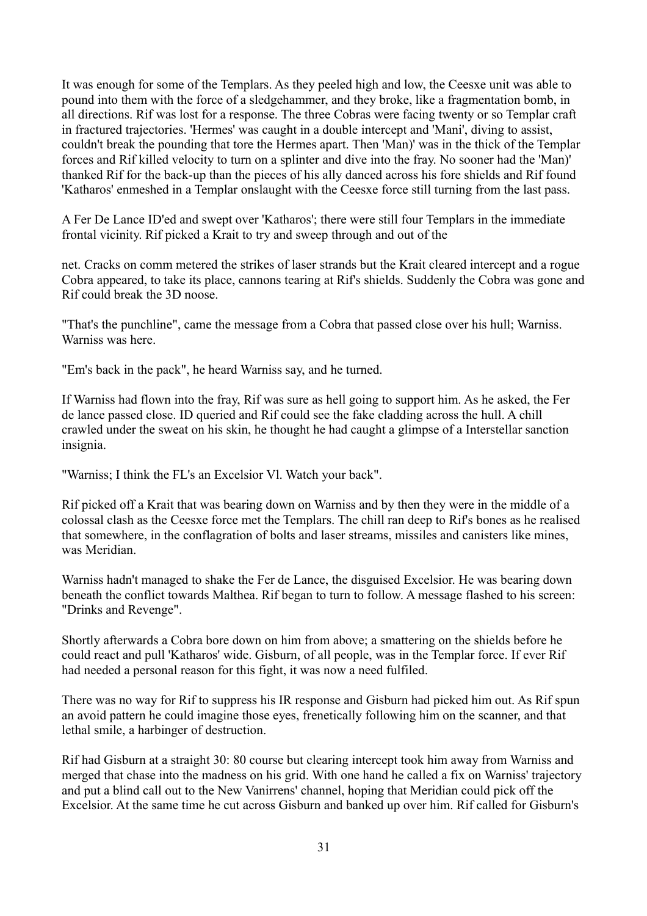It was enough for some of the Templars. As they peeled high and low, the Ceesxe unit was able to pound into them with the force of a sledgehammer, and they broke, like a fragmentation bomb, in all directions. Rif was lost for a response. The three Cobras were facing twenty or so Templar craft in fractured trajectories. 'Hermes' was caught in a double intercept and 'Mani', diving to assist, couldn't break the pounding that tore the Hermes apart. Then 'Man)' was in the thick of the Templar forces and Rif killed velocity to turn on a splinter and dive into the fray. No sooner had the 'Man)' thanked Rif for the back-up than the pieces of his ally danced across his fore shields and Rif found 'Katharos' enmeshed in a Templar onslaught with the Ceesxe force still turning from the last pass.

A Fer De Lance ID'ed and swept over 'Katharos'; there were still four Templars in the immediate frontal vicinity. Rif picked a Krait to try and sweep through and out of the

net. Cracks on comm metered the strikes of laser strands but the Krait cleared intercept and a rogue Cobra appeared, to take its place, cannons tearing at Rif's shields. Suddenly the Cobra was gone and Rif could break the 3D noose.

"That's the punchline", came the message from a Cobra that passed close over his hull; Warniss. Warniss was here.

"Em's back in the pack", he heard Warniss say, and he turned.

If Warniss had flown into the fray, Rif was sure as hell going to support him. As he asked, the Fer de lance passed close. ID queried and Rif could see the fake cladding across the hull. A chill crawled under the sweat on his skin, he thought he had caught a glimpse of a Interstellar sanction insignia.

"Warniss; I think the FL's an Excelsior Vl. Watch your back".

Rif picked off a Krait that was bearing down on Warniss and by then they were in the middle of a colossal clash as the Ceesxe force met the Templars. The chill ran deep to Rif's bones as he realised that somewhere, in the conflagration of bolts and laser streams, missiles and canisters like mines, was Meridian.

Warniss hadn't managed to shake the Fer de Lance, the disguised Excelsior. He was bearing down beneath the conflict towards Malthea. Rif began to turn to follow. A message flashed to his screen: "Drinks and Revenge".

Shortly afterwards a Cobra bore down on him from above; a smattering on the shields before he could react and pull 'Katharos' wide. Gisburn, of all people, was in the Templar force. If ever Rif had needed a personal reason for this fight, it was now a need fulfiled.

There was no way for Rif to suppress his IR response and Gisburn had picked him out. As Rif spun an avoid pattern he could imagine those eyes, frenetically following him on the scanner, and that lethal smile, a harbinger of destruction.

Rif had Gisburn at a straight 30: 80 course but clearing intercept took him away from Warniss and merged that chase into the madness on his grid. With one hand he called a fix on Warniss' trajectory and put a blind call out to the New Vanirrens' channel, hoping that Meridian could pick off the Excelsior. At the same time he cut across Gisburn and banked up over him. Rif called for Gisburn's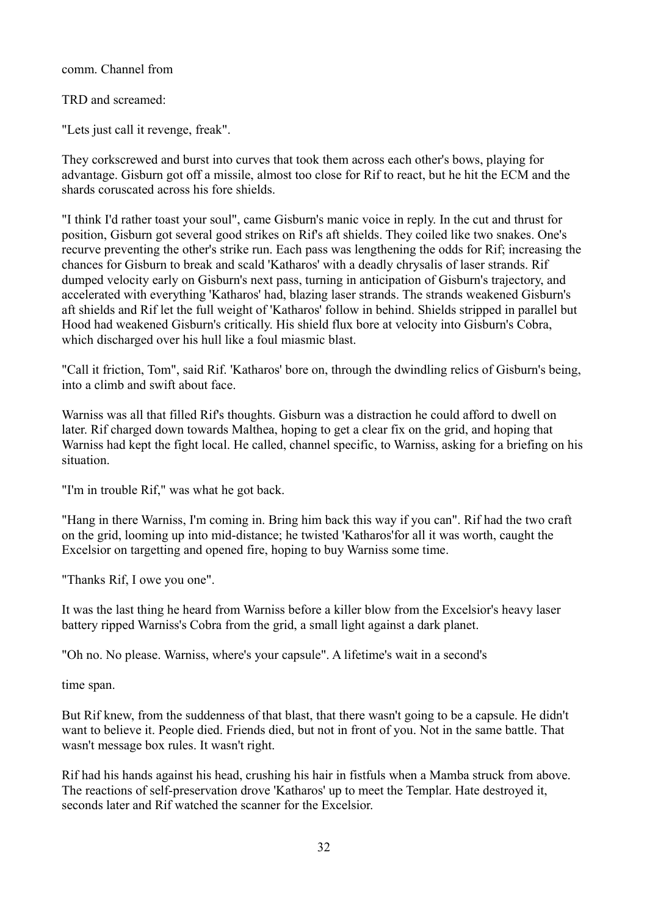comm. Channel from

TRD and screamed:

"Lets just call it revenge, freak".

They corkscrewed and burst into curves that took them across each other's bows, playing for advantage. Gisburn got off a missile, almost too close for Rif to react, but he hit the ECM and the shards coruscated across his fore shields.

"I think I'd rather toast your soul", came Gisburn's manic voice in reply. In the cut and thrust for position, Gisburn got several good strikes on Rif's aft shields. They coiled like two snakes. One's recurve preventing the other's strike run. Each pass was lengthening the odds for Rif; increasing the chances for Gisburn to break and scald 'Katharos' with a deadly chrysalis of laser strands. Rif dumped velocity early on Gisburn's next pass, turning in anticipation of Gisburn's trajectory, and accelerated with everything 'Katharos' had, blazing laser strands. The strands weakened Gisburn's aft shields and Rif let the full weight of 'Katharos' follow in behind. Shields stripped in parallel but Hood had weakened Gisburn's critically. His shield flux bore at velocity into Gisburn's Cobra, which discharged over his hull like a foul miasmic blast.

"Call it friction, Tom", said Rif. 'Katharos' bore on, through the dwindling relics of Gisburn's being, into a climb and swift about face.

Warniss was all that filled Rif's thoughts. Gisburn was a distraction he could afford to dwell on later. Rif charged down towards Malthea, hoping to get a clear fix on the grid, and hoping that Warniss had kept the fight local. He called, channel specific, to Warniss, asking for a briefing on his situation.

"I'm in trouble Rif," was what he got back.

"Hang in there Warniss, I'm coming in. Bring him back this way if you can". Rif had the two craft on the grid, looming up into mid-distance; he twisted 'Katharos'for all it was worth, caught the Excelsior on targetting and opened fire, hoping to buy Warniss some time.

"Thanks Rif, I owe you one".

It was the last thing he heard from Warniss before a killer blow from the Excelsior's heavy laser battery ripped Warniss's Cobra from the grid, a small light against a dark planet.

"Oh no. No please. Warniss, where's your capsule". A lifetime's wait in a second's

time span.

But Rif knew, from the suddenness of that blast, that there wasn't going to be a capsule. He didn't want to believe it. People died. Friends died, but not in front of you. Not in the same battle. That wasn't message box rules. It wasn't right.

Rif had his hands against his head, crushing his hair in fistfuls when a Mamba struck from above. The reactions of self-preservation drove 'Katharos' up to meet the Templar. Hate destroyed it, seconds later and Rif watched the scanner for the Excelsior.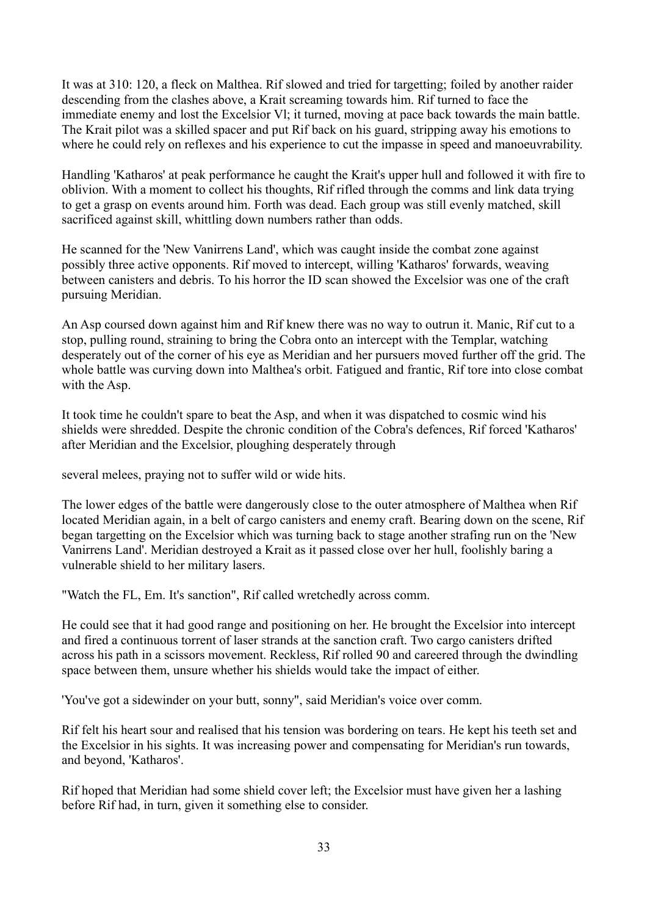It was at 310: 120, a fleck on Malthea. Rif slowed and tried for targetting; foiled by another raider descending from the clashes above, a Krait screaming towards him. Rif turned to face the immediate enemy and lost the Excelsior Vl; it turned, moving at pace back towards the main battle. The Krait pilot was a skilled spacer and put Rif back on his guard, stripping away his emotions to where he could rely on reflexes and his experience to cut the impasse in speed and manoeuvrability.

Handling 'Katharos' at peak performance he caught the Krait's upper hull and followed it with fire to oblivion. With a moment to collect his thoughts, Rif rifled through the comms and link data trying to get a grasp on events around him. Forth was dead. Each group was still evenly matched, skill sacrificed against skill, whittling down numbers rather than odds.

He scanned for the 'New Vanirrens Land', which was caught inside the combat zone against possibly three active opponents. Rif moved to intercept, willing 'Katharos' forwards, weaving between canisters and debris. To his horror the ID scan showed the Excelsior was one of the craft pursuing Meridian.

An Asp coursed down against him and Rif knew there was no way to outrun it. Manic, Rif cut to a stop, pulling round, straining to bring the Cobra onto an intercept with the Templar, watching desperately out of the corner of his eye as Meridian and her pursuers moved further off the grid. The whole battle was curving down into Malthea's orbit. Fatigued and frantic, Rif tore into close combat with the Asp.

It took time he couldn't spare to beat the Asp, and when it was dispatched to cosmic wind his shields were shredded. Despite the chronic condition of the Cobra's defences, Rif forced 'Katharos' after Meridian and the Excelsior, ploughing desperately through

several melees, praying not to suffer wild or wide hits.

The lower edges of the battle were dangerously close to the outer atmosphere of Malthea when Rif located Meridian again, in a belt of cargo canisters and enemy craft. Bearing down on the scene, Rif began targetting on the Excelsior which was turning back to stage another strafing run on the 'New Vanirrens Land'. Meridian destroyed a Krait as it passed close over her hull, foolishly baring a vulnerable shield to her military lasers.

"Watch the FL, Em. It's sanction", Rif called wretchedly across comm.

He could see that it had good range and positioning on her. He brought the Excelsior into intercept and fired a continuous torrent of laser strands at the sanction craft. Two cargo canisters drifted across his path in a scissors movement. Reckless, Rif rolled 90 and careered through the dwindling space between them, unsure whether his shields would take the impact of either.

'You've got a sidewinder on your butt, sonny", said Meridian's voice over comm.

Rif felt his heart sour and realised that his tension was bordering on tears. He kept his teeth set and the Excelsior in his sights. It was increasing power and compensating for Meridian's run towards, and beyond, 'Katharos'.

Rif hoped that Meridian had some shield cover left; the Excelsior must have given her a lashing before Rif had, in turn, given it something else to consider.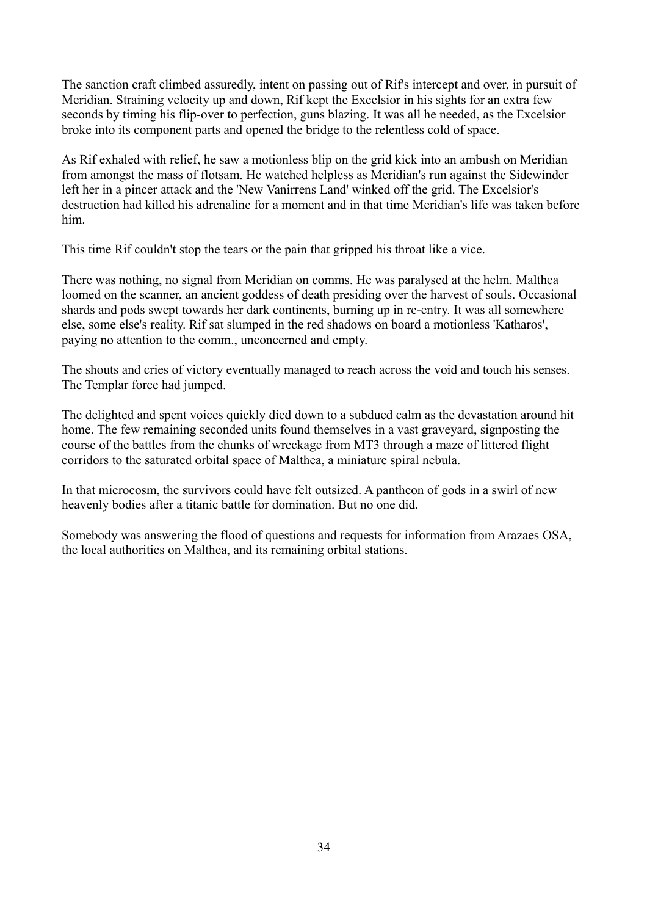The sanction craft climbed assuredly, intent on passing out of Rif's intercept and over, in pursuit of Meridian. Straining velocity up and down, Rif kept the Excelsior in his sights for an extra few seconds by timing his flip-over to perfection, guns blazing. It was all he needed, as the Excelsior broke into its component parts and opened the bridge to the relentless cold of space.

As Rif exhaled with relief, he saw a motionless blip on the grid kick into an ambush on Meridian from amongst the mass of flotsam. He watched helpless as Meridian's run against the Sidewinder left her in a pincer attack and the 'New Vanirrens Land' winked off the grid. The Excelsior's destruction had killed his adrenaline for a moment and in that time Meridian's life was taken before him.

This time Rif couldn't stop the tears or the pain that gripped his throat like a vice.

There was nothing, no signal from Meridian on comms. He was paralysed at the helm. Malthea loomed on the scanner, an ancient goddess of death presiding over the harvest of souls. Occasional shards and pods swept towards her dark continents, burning up in re-entry. It was all somewhere else, some else's reality. Rif sat slumped in the red shadows on board a motionless 'Katharos', paying no attention to the comm., unconcerned and empty.

The shouts and cries of victory eventually managed to reach across the void and touch his senses. The Templar force had jumped.

The delighted and spent voices quickly died down to a subdued calm as the devastation around hit home. The few remaining seconded units found themselves in a vast graveyard, signposting the course of the battles from the chunks of wreckage from MT3 through a maze of littered flight corridors to the saturated orbital space of Malthea, a miniature spiral nebula.

In that microcosm, the survivors could have felt outsized. A pantheon of gods in a swirl of new heavenly bodies after a titanic battle for domination. But no one did.

Somebody was answering the flood of questions and requests for information from Arazaes OSA, the local authorities on Malthea, and its remaining orbital stations.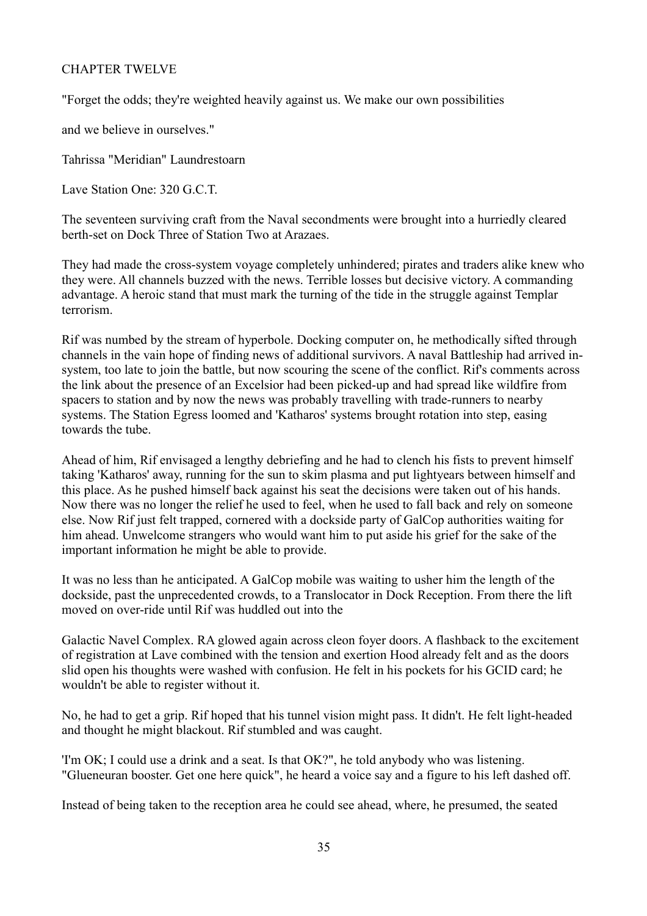# CHAPTER TWELVE

"Forget the odds; they're weighted heavily against us. We make our own possibilities

and we believe in ourselves."

Tahrissa "Meridian" Laundrestoarn

Lave Station One: 320 G.C.T.

The seventeen surviving craft from the Naval secondments were brought into a hurriedly cleared berth-set on Dock Three of Station Two at Arazaes.

They had made the cross-system voyage completely unhindered; pirates and traders alike knew who they were. All channels buzzed with the news. Terrible losses but decisive victory. A commanding advantage. A heroic stand that must mark the turning of the tide in the struggle against Templar terrorism.

Rif was numbed by the stream of hyperbole. Docking computer on, he methodically sifted through channels in the vain hope of finding news of additional survivors. A naval Battleship had arrived insystem, too late to join the battle, but now scouring the scene of the conflict. Rif's comments across the link about the presence of an Excelsior had been picked-up and had spread like wildfire from spacers to station and by now the news was probably travelling with trade-runners to nearby systems. The Station Egress loomed and 'Katharos' systems brought rotation into step, easing towards the tube.

Ahead of him, Rif envisaged a lengthy debriefing and he had to clench his fists to prevent himself taking 'Katharos' away, running for the sun to skim plasma and put lightyears between himself and this place. As he pushed himself back against his seat the decisions were taken out of his hands. Now there was no longer the relief he used to feel, when he used to fall back and rely on someone else. Now Rif just felt trapped, cornered with a dockside party of GalCop authorities waiting for him ahead. Unwelcome strangers who would want him to put aside his grief for the sake of the important information he might be able to provide.

It was no less than he anticipated. A GalCop mobile was waiting to usher him the length of the dockside, past the unprecedented crowds, to a Translocator in Dock Reception. From there the lift moved on over-ride until Rif was huddled out into the

Galactic Navel Complex. RA glowed again across cleon foyer doors. A flashback to the excitement of registration at Lave combined with the tension and exertion Hood already felt and as the doors slid open his thoughts were washed with confusion. He felt in his pockets for his GCID card; he wouldn't be able to register without it.

No, he had to get a grip. Rif hoped that his tunnel vision might pass. It didn't. He felt light-headed and thought he might blackout. Rif stumbled and was caught.

'I'm OK; I could use a drink and a seat. Is that OK?", he told anybody who was listening. "Glueneuran booster. Get one here quick", he heard a voice say and a figure to his left dashed off.

Instead of being taken to the reception area he could see ahead, where, he presumed, the seated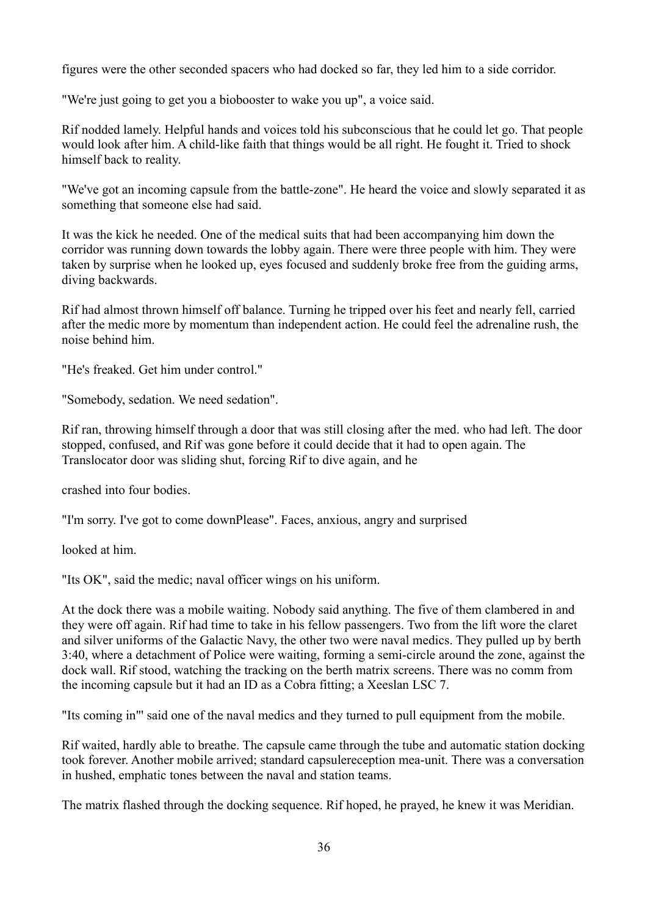figures were the other seconded spacers who had docked so far, they led him to a side corridor.

"We're just going to get you a biobooster to wake you up", a voice said.

Rif nodded lamely. Helpful hands and voices told his subconscious that he could let go. That people would look after him. A child-like faith that things would be all right. He fought it. Tried to shock himself back to reality.

"We've got an incoming capsule from the battle-zone". He heard the voice and slowly separated it as something that someone else had said.

It was the kick he needed. One of the medical suits that had been accompanying him down the corridor was running down towards the lobby again. There were three people with him. They were taken by surprise when he looked up, eyes focused and suddenly broke free from the guiding arms, diving backwards.

Rif had almost thrown himself off balance. Turning he tripped over his feet and nearly fell, carried after the medic more by momentum than independent action. He could feel the adrenaline rush, the noise behind him.

"He's freaked. Get him under control."

"Somebody, sedation. We need sedation".

Rif ran, throwing himself through a door that was still closing after the med. who had left. The door stopped, confused, and Rif was gone before it could decide that it had to open again. The Translocator door was sliding shut, forcing Rif to dive again, and he

crashed into four bodies.

"I'm sorry. I've got to come downPlease". Faces, anxious, angry and surprised

looked at him.

"Its OK", said the medic; naval officer wings on his uniform.

At the dock there was a mobile waiting. Nobody said anything. The five of them clambered in and they were off again. Rif had time to take in his fellow passengers. Two from the lift wore the claret and silver uniforms of the Galactic Navy, the other two were naval medics. They pulled up by berth 3:40, where a detachment of Police were waiting, forming a semi-circle around the zone, against the dock wall. Rif stood, watching the tracking on the berth matrix screens. There was no comm from the incoming capsule but it had an ID as a Cobra fitting; a Xeeslan LSC 7.

"Its coming in"' said one of the naval medics and they turned to pull equipment from the mobile.

Rif waited, hardly able to breathe. The capsule came through the tube and automatic station docking took forever. Another mobile arrived; standard capsulereception mea-unit. There was a conversation in hushed, emphatic tones between the naval and station teams.

The matrix flashed through the docking sequence. Rif hoped, he prayed, he knew it was Meridian.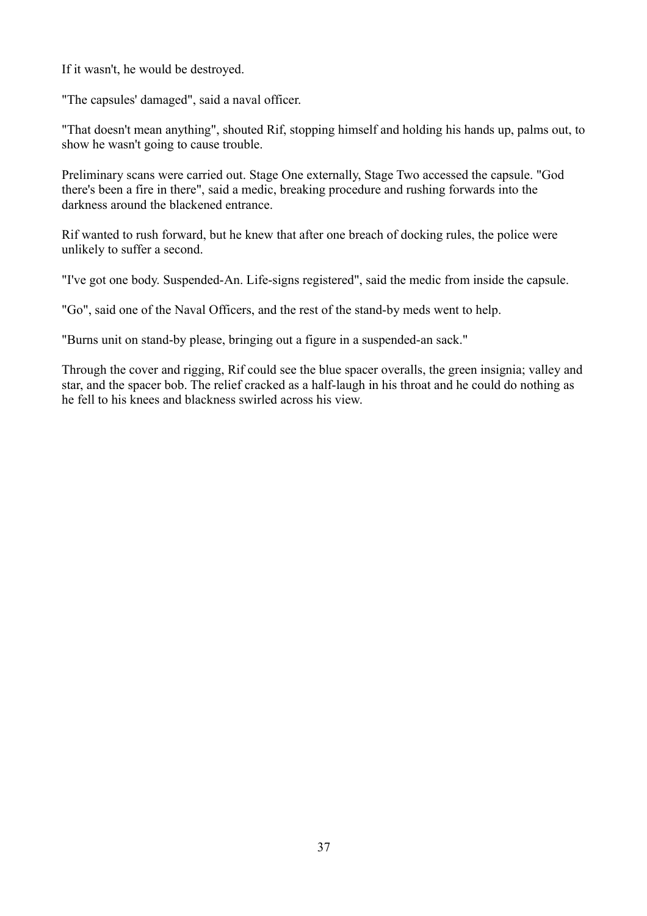If it wasn't, he would be destroyed.

"The capsules' damaged", said a naval officer.

"That doesn't mean anything", shouted Rif, stopping himself and holding his hands up, palms out, to show he wasn't going to cause trouble.

Preliminary scans were carried out. Stage One externally, Stage Two accessed the capsule. "God there's been a fire in there", said a medic, breaking procedure and rushing forwards into the darkness around the blackened entrance.

Rif wanted to rush forward, but he knew that after one breach of docking rules, the police were unlikely to suffer a second.

"I've got one body. Suspended-An. Life-signs registered", said the medic from inside the capsule.

"Go", said one of the Naval Officers, and the rest of the stand-by meds went to help.

"Burns unit on stand-by please, bringing out a figure in a suspended-an sack."

Through the cover and rigging, Rif could see the blue spacer overalls, the green insignia; valley and star, and the spacer bob. The relief cracked as a half-laugh in his throat and he could do nothing as he fell to his knees and blackness swirled across his view.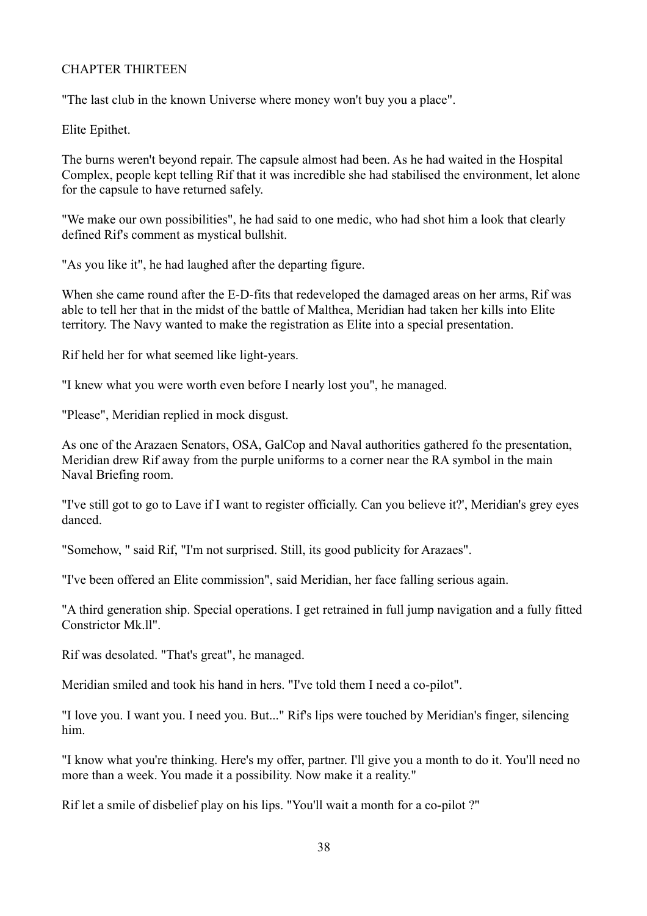# CHAPTER THIRTEEN

"The last club in the known Universe where money won't buy you a place".

Elite Epithet.

The burns weren't beyond repair. The capsule almost had been. As he had waited in the Hospital Complex, people kept telling Rif that it was incredible she had stabilised the environment, let alone for the capsule to have returned safely.

"We make our own possibilities", he had said to one medic, who had shot him a look that clearly defined Rif's comment as mystical bullshit.

"As you like it", he had laughed after the departing figure.

When she came round after the E-D-fits that redeveloped the damaged areas on her arms, Rif was able to tell her that in the midst of the battle of Malthea, Meridian had taken her kills into Elite territory. The Navy wanted to make the registration as Elite into a special presentation.

Rif held her for what seemed like light-years.

"I knew what you were worth even before I nearly lost you", he managed.

"Please", Meridian replied in mock disgust.

As one of the Arazaen Senators, OSA, GalCop and Naval authorities gathered fo the presentation, Meridian drew Rif away from the purple uniforms to a corner near the RA symbol in the main Naval Briefing room.

"I've still got to go to Lave if I want to register officially. Can you believe it?', Meridian's grey eyes danced.

"Somehow, " said Rif, "I'm not surprised. Still, its good publicity for Arazaes".

"I've been offered an Elite commission", said Meridian, her face falling serious again.

"A third generation ship. Special operations. I get retrained in full jump navigation and a fully fitted Constrictor Mk.ll".

Rif was desolated. "That's great", he managed.

Meridian smiled and took his hand in hers. "I've told them I need a co-pilot".

"I love you. I want you. I need you. But..." Rif's lips were touched by Meridian's finger, silencing him.

"I know what you're thinking. Here's my offer, partner. I'll give you a month to do it. You'll need no more than a week. You made it a possibility. Now make it a reality."

Rif let a smile of disbelief play on his lips. "You'll wait a month for a co-pilot ?"